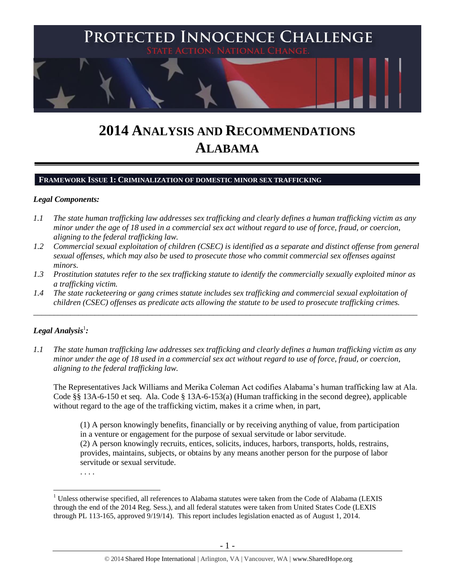

# **2014 ANALYSIS AND RECOMMENDATIONS ALABAMA**

#### **FRAMEWORK ISSUE 1: CRIMINALIZATION OF DOMESTIC MINOR SEX TRAFFICKING**

## *Legal Components:*

- *1.1 The state human trafficking law addresses sex trafficking and clearly defines a human trafficking victim as any minor under the age of 18 used in a commercial sex act without regard to use of force, fraud, or coercion, aligning to the federal trafficking law.*
- *1.2 Commercial sexual exploitation of children (CSEC) is identified as a separate and distinct offense from general sexual offenses, which may also be used to prosecute those who commit commercial sex offenses against minors.*
- *1.3 Prostitution statutes refer to the sex trafficking statute to identify the commercially sexually exploited minor as a trafficking victim.*
- *1.4 The state racketeering or gang crimes statute includes sex trafficking and commercial sexual exploitation of children (CSEC) offenses as predicate acts allowing the statute to be used to prosecute trafficking crimes.*

\_\_\_\_\_\_\_\_\_\_\_\_\_\_\_\_\_\_\_\_\_\_\_\_\_\_\_\_\_\_\_\_\_\_\_\_\_\_\_\_\_\_\_\_\_\_\_\_\_\_\_\_\_\_\_\_\_\_\_\_\_\_\_\_\_\_\_\_\_\_\_\_\_\_\_\_\_\_\_\_\_\_\_\_\_\_\_\_\_\_\_\_\_\_

# $\bm{L}$ egal Analysis $^1$ :

*1.1 The state human trafficking law addresses sex trafficking and clearly defines a human trafficking victim as any minor under the age of 18 used in a commercial sex act without regard to use of force, fraud, or coercion, aligning to the federal trafficking law.*

The Representatives Jack Williams and Merika Coleman Act codifies Alabama's human trafficking law at Ala. Code §§ 13A-6-150 et seq. Ala. Code § 13A-6-153(a) (Human trafficking in the second degree), applicable without regard to the age of the trafficking victim, makes it a crime when, in part,

(1) A person knowingly benefits, financially or by receiving anything of value, from participation in a venture or engagement for the purpose of sexual servitude or labor servitude. (2) A person knowingly recruits, entices, solicits, induces, harbors, transports, holds, restrains, provides, maintains, subjects, or obtains by any means another person for the purpose of labor servitude or sexual servitude.

. . . .

<sup>&</sup>lt;sup>1</sup> Unless otherwise specified, all references to Alabama statutes were taken from the Code of Alabama (LEXIS through the end of the 2014 Reg. Sess.), and all federal statutes were taken from United States Code (LEXIS through PL 113-165, approved 9/19/14). This report includes legislation enacted as of August 1, 2014.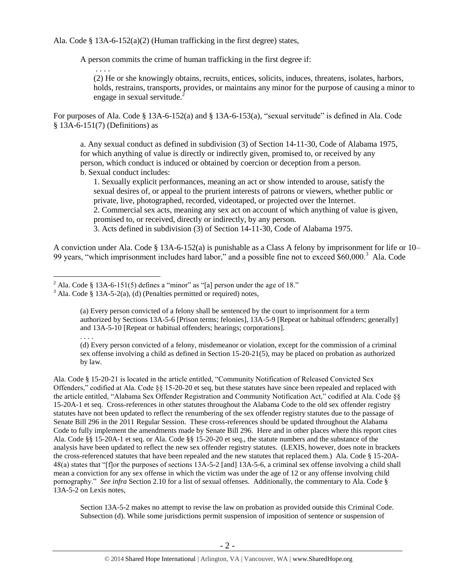Ala. Code § 13A-6-152(a)(2) (Human trafficking in the first degree) states,

A person commits the crime of human trafficking in the first degree if:

. . . . (2) He or she knowingly obtains, recruits, entices, solicits, induces, threatens, isolates, harbors, holds, restrains, transports, provides, or maintains any minor for the purpose of causing a minor to engage in sexual servitude.<sup>2</sup>

For purposes of Ala. Code § 13A-6-152(a) and § 13A-6-153(a), "sexual servitude" is defined in Ala. Code § 13A-6-151(7) (Definitions) as

a. Any sexual conduct as defined in subdivision (3) of Section 14-11-30, Code of Alabama 1975, for which anything of value is directly or indirectly given, promised to, or received by any person, which conduct is induced or obtained by coercion or deception from a person. b. Sexual conduct includes:

1. Sexually explicit performances, meaning an act or show intended to arouse, satisfy the sexual desires of, or appeal to the prurient interests of patrons or viewers, whether public or private, live, photographed, recorded, videotaped, or projected over the Internet. 2. Commercial sex acts, meaning any sex act on account of which anything of value is given, promised to, or received, directly or indirectly, by any person.

<span id="page-1-0"></span>3. Acts defined in subdivision (3) of Section 14-11-30, Code of Alabama 1975.

A conviction under Ala. Code § 13A-6-152(a) is punishable as a Class A felony by imprisonment for life or 10– 99 years, "which imprisonment includes hard labor," and a possible fine not to exceed \$60,000.<sup>3</sup> Ala. Code

 $\overline{a}$ 

. . . . (d) Every person convicted of a felony, misdemeanor or violation, except for the commission of a criminal sex offense involving a child as defined in Section 15-20-21(5), may be placed on probation as authorized by law.

Ala. Code § 15-20-21 is located in the article entitled, "Community Notification of Released Convicted Sex Offenders," codified at Ala. Code §§ 15-20-20 et seq, but these statutes have since been repealed and replaced with the article entitled, "Alabama Sex Offender Registration and Community Notification Act," codified at Ala. Code §§ 15-20A-1 et seq. Cross-references in other statutes throughout the Alabama Code to the old sex offender registry statutes have not been updated to reflect the renumbering of the sex offender registry statutes due to the passage of Senate Bill 296 in the 2011 Regular Session. These cross-references should be updated throughout the Alabama Code to fully implement the amendments made by Senate Bill 296. Here and in other places where this report cites Ala. Code §§ 15-20A-1 et seq. or Ala. Code §§ 15-20-20 et seq., the statute numbers and the substance of the analysis have been updated to reflect the new sex offender registry statutes. (LEXIS, however, does note in brackets the cross-referenced statutes that have been repealed and the new statutes that replaced them.) Ala. Code § 15-20A-48(a) states that "[f]or the purposes of sections 13A-5-2 [and] 13A-5-6, a criminal sex offense involving a child shall mean a conviction for any sex offense in which the victim was under the age of 12 or any offense involving child pornography." *See infra* Section 2.10 for a list of sexual offenses. Additionally, the commentary to Ala. Code § 13A-5-2 on Lexis notes,

Section 13A-5-2 makes no attempt to revise the law on probation as provided outside this Criminal Code. Subsection (d). While some jurisdictions permit suspension of imposition of sentence or suspension of

<sup>&</sup>lt;sup>2</sup> Ala. Code § 13A-6-151(5) defines a "minor" as "[a] person under the age of 18."

 $3$  Ala. Code § 13A-5-2(a), (d) (Penalties permitted or required) notes,

<sup>(</sup>a) Every person convicted of a felony shall be sentenced by the court to imprisonment for a term authorized by Sections 13A-5-6 [Prison terms; felonies], 13A-5-9 [Repeat or habitual offenders; generally] and 13A-5-10 [Repeat or habitual offenders; hearings; corporations].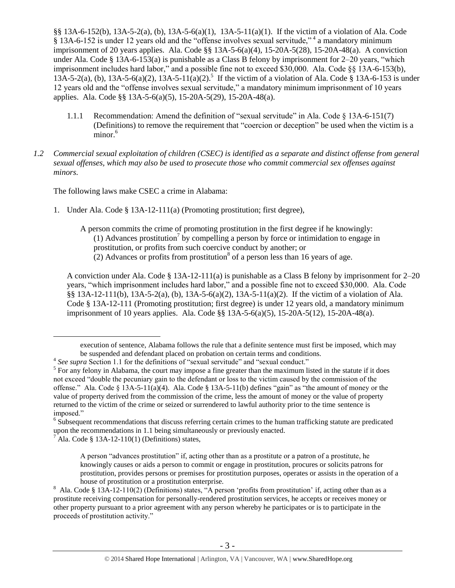§§ 13A-6-152(b), 13A-5-2(a), (b), 13A-5-6(a)(1), 13A-5-11(a)(1). If the victim of a violation of Ala. Code § 13A-6-152 is under 12 years old and the "offense involves sexual servitude,"<sup>4</sup> a mandatory minimum imprisonment of 20 years applies. Ala. Code §§ 13A-5-6(a)(4), 15-20A-5(28), 15-20A-48(a). A conviction under Ala. Code § 13A-6-153(a) is punishable as a Class B felony by imprisonment for 2–20 years, "which imprisonment includes hard labor," and a possible fine not to exceed \$30,000. Ala. Code §§ 13A-6-153(b),  $13A-5-2(a)$ , (b),  $13A-5-6(a)(2)$ ,  $13A-5-11(a)(2)$ .<sup>5</sup> If the victim of a violation of Ala. Code § 13A-6-153 is under 12 years old and the "offense involves sexual servitude," a mandatory minimum imprisonment of 10 years applies. Ala. Code §§ 13A-5-6(a)(5), 15-20A-5(29), 15-20A-48(a).

- 1.1.1 Recommendation: Amend the definition of "sexual servitude" in Ala. Code § 13A-6-151(7) (Definitions) to remove the requirement that "coercion or deception" be used when the victim is a minor. 6
- *1.2 Commercial sexual exploitation of children (CSEC) is identified as a separate and distinct offense from general sexual offenses, which may also be used to prosecute those who commit commercial sex offenses against minors.*

The following laws make CSEC a crime in Alabama:

- 1. Under Ala. Code § 13A-12-111(a) (Promoting prostitution; first degree),
	- A person commits the crime of promoting prostitution in the first degree if he knowingly: (1) Advances prostitution<sup>7</sup> by compelling a person by force or intimidation to engage in prostitution, or profits from such coercive conduct by another; or  $(2)$  Advances or profits from prostitution<sup>8</sup> of a person less than 16 years of age.

A conviction under Ala. Code § 13A-12-111(a) is punishable as a Class B felony by imprisonment for  $2-20$ years, "which imprisonment includes hard labor," and a possible fine not to exceed \$30,000. Ala. Code §§ 13A-12-111(b), 13A-5-2(a), (b), 13A-5-6(a)(2), 13A-5-11(a)(2). If the victim of a violation of Ala. Code § 13A-12-111 (Promoting prostitution; first degree) is under 12 years old, a mandatory minimum imprisonment of 10 years applies. Ala. Code §§ 13A-5-6(a)(5), 15-20A-5(12), 15-20A-48(a).

execution of sentence, Alabama follows the rule that a definite sentence must first be imposed, which may be suspended and defendant placed on probation on certain terms and conditions.

<sup>&</sup>lt;sup>4</sup> See supra Section 1.1 for the definitions of "sexual servitude" and "sexual conduct."

 $<sup>5</sup>$  For any felony in Alabama, the court may impose a fine greater than the maximum listed in the statute if it does</sup> not exceed "double the pecuniary gain to the defendant or loss to the victim caused by the commission of the offense." Ala. Code § 13A-5-11(a)(4). Ala. Code § 13A-5-11(b) defines "gain" as "the amount of money or the value of property derived from the commission of the crime, less the amount of money or the value of property returned to the victim of the crime or seized or surrendered to lawful authority prior to the time sentence is imposed."

<sup>&</sup>lt;sup>6</sup> Subsequent recommendations that discuss referring certain crimes to the human trafficking statute are predicated upon the recommendations in 1.1 being simultaneously or previously enacted.

 $^7$ Ala. Code § 13A-12-110(1) (Definitions) states,

A person "advances prostitution" if, acting other than as a prostitute or a patron of a prostitute, he knowingly causes or aids a person to commit or engage in prostitution, procures or solicits patrons for prostitution, provides persons or premises for prostitution purposes, operates or assists in the operation of a house of prostitution or a prostitution enterprise.

 $8$  Ala. Code § 13A-12-110(2) (Definitions) states, "A person 'profits from prostitution' if, acting other than as a prostitute receiving compensation for personally-rendered prostitution services, he accepts or receives money or other property pursuant to a prior agreement with any person whereby he participates or is to participate in the proceeds of prostitution activity."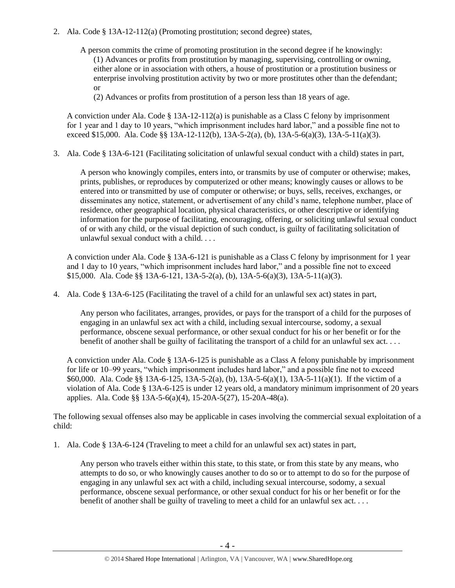- 2. Ala. Code § 13A-12-112(a) (Promoting prostitution; second degree) states,
	- A person commits the crime of promoting prostitution in the second degree if he knowingly: (1) Advances or profits from prostitution by managing, supervising, controlling or owning, either alone or in association with others, a house of prostitution or a prostitution business or enterprise involving prostitution activity by two or more prostitutes other than the defendant; or

(2) Advances or profits from prostitution of a person less than 18 years of age.

A conviction under Ala. Code  $\S$  13A-12-112(a) is punishable as a Class C felony by imprisonment for 1 year and 1 day to 10 years, "which imprisonment includes hard labor," and a possible fine not to exceed \$15,000. Ala. Code §§ 13A-12-112(b), 13A-5-2(a), (b), 13A-5-6(a)(3), 13A-5-11(a)(3).

3. Ala. Code § 13A-6-121 (Facilitating solicitation of unlawful sexual conduct with a child) states in part,

A person who knowingly compiles, enters into, or transmits by use of computer or otherwise; makes, prints, publishes, or reproduces by computerized or other means; knowingly causes or allows to be entered into or transmitted by use of computer or otherwise; or buys, sells, receives, exchanges, or disseminates any notice, statement, or advertisement of any child's name, telephone number, place of residence, other geographical location, physical characteristics, or other descriptive or identifying information for the purpose of facilitating, encouraging, offering, or soliciting unlawful sexual conduct of or with any child, or the visual depiction of such conduct, is guilty of facilitating solicitation of unlawful sexual conduct with a child. . . .

A conviction under Ala. Code § 13A-6-121 is punishable as a Class C felony by imprisonment for 1 year and 1 day to 10 years, "which imprisonment includes hard labor," and a possible fine not to exceed \$15,000. Ala. Code §§ 13A-6-121, 13A-5-2(a), (b), 13A-5-6(a)(3), 13A-5-11(a)(3).

4. Ala. Code § 13A-6-125 (Facilitating the travel of a child for an unlawful sex act) states in part,

Any person who facilitates, arranges, provides, or pays for the transport of a child for the purposes of engaging in an unlawful sex act with a child, including sexual intercourse, sodomy, a sexual performance, obscene sexual performance, or other sexual conduct for his or her benefit or for the benefit of another shall be guilty of facilitating the transport of a child for an unlawful sex act. . . .

A conviction under Ala. Code § 13A-6-125 is punishable as a Class A felony punishable by imprisonment for life or 10–99 years, "which imprisonment includes hard labor," and a possible fine not to exceed \$60,000. Ala. Code §§ 13A-6-125, 13A-5-2(a), (b), 13A-5-6(a)(1), 13A-5-11(a)(1). If the victim of a violation of Ala. Code § 13A-6-125 is under 12 years old, a mandatory minimum imprisonment of 20 years applies. Ala. Code §§ 13A-5-6(a)(4), 15-20A-5(27), 15-20A-48(a).

The following sexual offenses also may be applicable in cases involving the commercial sexual exploitation of a child:

1. Ala. Code § 13A-6-124 (Traveling to meet a child for an unlawful sex act) states in part,

Any person who travels either within this state, to this state, or from this state by any means, who attempts to do so, or who knowingly causes another to do so or to attempt to do so for the purpose of engaging in any unlawful sex act with a child, including sexual intercourse, sodomy, a sexual performance, obscene sexual performance, or other sexual conduct for his or her benefit or for the benefit of another shall be guilty of traveling to meet a child for an unlawful sex act. . . .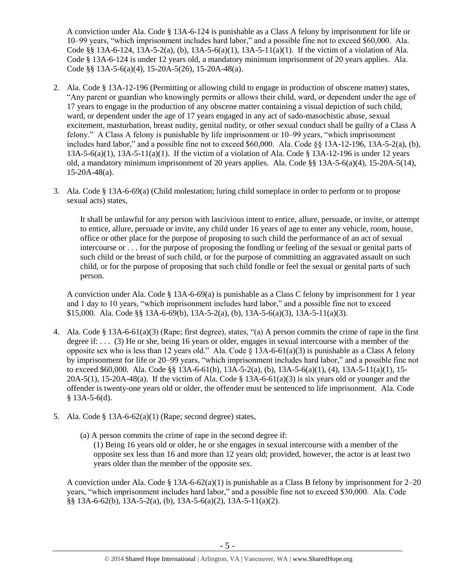A conviction under Ala. Code § 13A-6-124 is punishable as a Class A felony by imprisonment for life or 10–99 years, "which imprisonment includes hard labor," and a possible fine not to exceed \$60,000. Ala. Code §§ 13A-6-124, 13A-5-2(a), (b), 13A-5-6(a)(1), 13A-5-11(a)(1). If the victim of a violation of Ala. Code § 13A-6-124 is under 12 years old, a mandatory minimum imprisonment of 20 years applies. Ala. Code §§ 13A-5-6(a)(4), 15-20A-5(26), 15-20A-48(a).

- 2. Ala. Code § 13A-12-196 (Permitting or allowing child to engage in production of obscene matter) states, "Any parent or guardian who knowingly permits or allows their child, ward, or dependent under the age of 17 years to engage in the production of any obscene matter containing a visual depiction of such child, ward, or dependent under the age of 17 years engaged in any act of sado-masochistic abuse, sexual excitement, masturbation, breast nudity, genital nudity, or other sexual conduct shall be guilty of a Class A felony." A Class A felony is punishable by life imprisonment or 10–99 years, "which imprisonment includes hard labor," and a possible fine not to exceed \$60,000. Ala. Code §§ 13A-12-196, 13A-5-2(a), (b), 13A-5-6(a)(1), 13A-5-11(a)(1). If the victim of a violation of Ala. Code § 13A-12-196 is under 12 years old, a mandatory minimum imprisonment of 20 years applies. Ala. Code §§ 13A-5-6(a)(4), 15-20A-5(14), 15-20A-48(a).
- 3. Ala. Code § 13A-6-69(a) (Child molestation; luring child someplace in order to perform or to propose sexual acts) states,

It shall be unlawful for any person with lascivious intent to entice, allure, persuade, or invite, or attempt to entice, allure, persuade or invite, any child under 16 years of age to enter any vehicle, room, house, office or other place for the purpose of proposing to such child the performance of an act of sexual intercourse or . . . for the purpose of proposing the fondling or feeling of the sexual or genital parts of such child or the breast of such child, or for the purpose of committing an aggravated assault on such child, or for the purpose of proposing that such child fondle or feel the sexual or genital parts of such person.

A conviction under Ala. Code § 13A-6-69(a) is punishable as a Class C felony by imprisonment for 1 year and 1 day to 10 years, "which imprisonment includes hard labor," and a possible fine not to exceed \$15,000. Ala. Code §§ 13A-6-69(b), 13A-5-2(a), (b), 13A-5-6(a)(3), 13A-5-11(a)(3).

- 4. Ala. Code § 13A-6-61(a)(3) (Rape; first degree), states, "(a) A person commits the crime of rape in the first degree if: . . . (3) He or she, being 16 years or older, engages in sexual intercourse with a member of the opposite sex who is less than 12 years old." Ala. Code  $\S$  13A-6-61(a)(3) is punishable as a Class A felony by imprisonment for life or 20–99 years, "which imprisonment includes hard labor," and a possible fine not to exceed \$60,000. Ala. Code §§ 13A-6-61(b), 13A-5-2(a), (b), 13A-5-6(a)(1), (4), 13A-5-11(a)(1), 15-  $20A-5(1)$ , 15-20A-48(a). If the victim of Ala. Code § 13A-6-61(a)(3) is six years old or younger and the offender is twenty-one years old or older, the offender must be sentenced to life imprisonment. Ala. Code  $§$  13A-5-6(d).
- 5. Ala. Code  $\S 13A-6-62(a)(1)$  (Rape; second degree) states,
	- (a) A person commits the crime of rape in the second degree if: (1) Being 16 years old or older, he or she engages in sexual intercourse with a member of the opposite sex less than 16 and more than 12 years old; provided, however, the actor is at least two years older than the member of the opposite sex.

A conviction under Ala. Code § 13A-6-62(a)(1) is punishable as a Class B felony by imprisonment for 2–20 years, "which imprisonment includes hard labor," and a possible fine not to exceed \$30,000. Ala. Code §§ 13A-6-62(b), 13A-5-2(a), (b), 13A-5-6(a)(2), 13A-5-11(a)(2).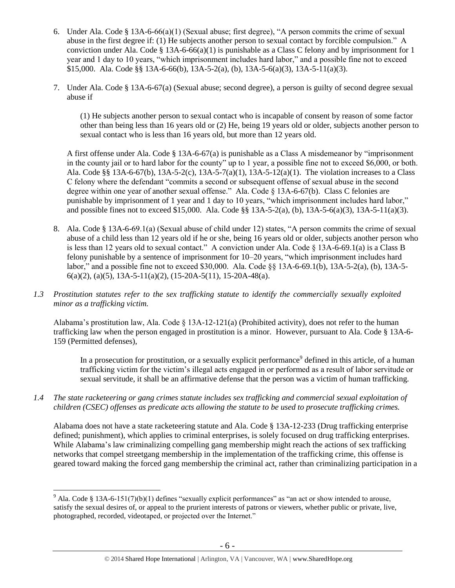- 6. Under Ala. Code § 13A-6-66(a)(1) (Sexual abuse; first degree), "A person commits the crime of sexual abuse in the first degree if: (1) He subjects another person to sexual contact by forcible compulsion." A conviction under Ala. Code § 13A-6-66(a)(1) is punishable as a Class C felony and by imprisonment for 1 year and 1 day to 10 years, "which imprisonment includes hard labor," and a possible fine not to exceed \$15,000. Ala. Code §§ 13A-6-66(b), 13A-5-2(a), (b), 13A-5-6(a)(3), 13A-5-11(a)(3).
- 7. Under Ala. Code § 13A-6-67(a) (Sexual abuse; second degree), a person is guilty of second degree sexual abuse if

(1) He subjects another person to sexual contact who is incapable of consent by reason of some factor other than being less than 16 years old or (2) He, being 19 years old or older, subjects another person to sexual contact who is less than 16 years old, but more than 12 years old.

A first offense under Ala. Code § 13A-6-67(a) is punishable as a Class A misdemeanor by "imprisonment in the county jail or to hard labor for the county" up to 1 year, a possible fine not to exceed \$6,000, or both. Ala. Code §§ 13A-6-67(b), 13A-5-2(c), 13A-5-7(a)(1), 13A-5-12(a)(1). The violation increases to a Class C felony where the defendant "commits a second or subsequent offense of sexual abuse in the second degree within one year of another sexual offense." Ala. Code § 13A-6-67(b). Class C felonies are punishable by imprisonment of 1 year and 1 day to 10 years, "which imprisonment includes hard labor," and possible fines not to exceed \$15,000. Ala. Code §§ 13A-5-2(a), (b), 13A-5-6(a)(3), 13A-5-11(a)(3).

- 8. Ala. Code § 13A-6-69.1(a) (Sexual abuse of child under 12) states, "A person commits the crime of sexual abuse of a child less than 12 years old if he or she, being 16 years old or older, subjects another person who is less than 12 years old to sexual contact." A conviction under Ala. Code § 13A-6-69.1(a) is a Class B felony punishable by a sentence of imprisonment for 10–20 years, "which imprisonment includes hard labor," and a possible fine not to exceed \$30,000. Ala. Code §§ 13A-6-69.1(b), 13A-5-2(a), (b), 13A-5-  $6(a)(2)$ ,  $(a)(5)$ , 13A-5-11(a)(2), (15-20A-5(11), 15-20A-48(a).
- *1.3 Prostitution statutes refer to the sex trafficking statute to identify the commercially sexually exploited minor as a trafficking victim.*

Alabama's prostitution law, Ala. Code § 13A-12-121(a) (Prohibited activity), does not refer to the human trafficking law when the person engaged in prostitution is a minor. However, pursuant to Ala. Code § 13A-6- 159 (Permitted defenses),

In a prosecution for prostitution, or a sexually explicit performance<sup>9</sup> defined in this article, of a human trafficking victim for the victim's illegal acts engaged in or performed as a result of labor servitude or sexual servitude, it shall be an affirmative defense that the person was a victim of human trafficking.

*1.4 The state racketeering or gang crimes statute includes sex trafficking and commercial sexual exploitation of children (CSEC) offenses as predicate acts allowing the statute to be used to prosecute trafficking crimes.* 

Alabama does not have a state racketeering statute and Ala. Code § 13A-12-233 (Drug trafficking enterprise defined; punishment), which applies to criminal enterprises, is solely focused on drug trafficking enterprises. While Alabama's law criminalizing compelling gang membership might reach the actions of sex trafficking networks that compel streetgang membership in the implementation of the trafficking crime, this offense is geared toward making the forced gang membership the criminal act, rather than criminalizing participation in a

 $\overline{a}$ <sup>9</sup> Ala. Code § 13A-6-151(7)(b)(1) defines "sexually explicit performances" as "an act or show intended to arouse, satisfy the sexual desires of, or appeal to the prurient interests of patrons or viewers, whether public or private, live, photographed, recorded, videotaped, or projected over the Internet."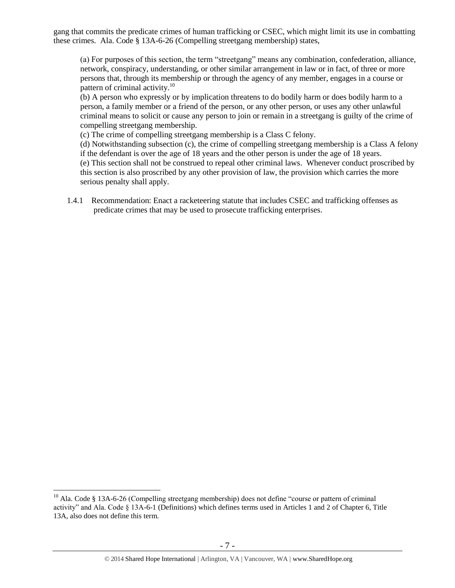gang that commits the predicate crimes of human trafficking or CSEC, which might limit its use in combatting these crimes. Ala. Code § 13A-6-26 (Compelling streetgang membership) states,

(a) For purposes of this section, the term "streetgang" means any combination, confederation, alliance, network, conspiracy, understanding, or other similar arrangement in law or in fact, of three or more persons that, through its membership or through the agency of any member, engages in a course or pattern of criminal activity. $10<sup>10</sup>$ 

(b) A person who expressly or by implication threatens to do bodily harm or does bodily harm to a person, a family member or a friend of the person, or any other person, or uses any other unlawful criminal means to solicit or cause any person to join or remain in a streetgang is guilty of the crime of compelling streetgang membership.

(c) The crime of compelling streetgang membership is a Class C felony.

(d) Notwithstanding subsection (c), the crime of compelling streetgang membership is a Class A felony if the defendant is over the age of 18 years and the other person is under the age of 18 years. (e) This section shall not be construed to repeal other criminal laws. Whenever conduct proscribed by this section is also proscribed by any other provision of law, the provision which carries the more serious penalty shall apply.

1.4.1 Recommendation: Enact a racketeering statute that includes CSEC and trafficking offenses as predicate crimes that may be used to prosecute trafficking enterprises.

<sup>&</sup>lt;sup>10</sup> Ala. Code § 13A-6-26 (Compelling streetgang membership) does not define "course or pattern of criminal activity" and Ala. Code § 13A-6-1 (Definitions) which defines terms used in Articles 1 and 2 of Chapter 6, Title 13A, also does not define this term.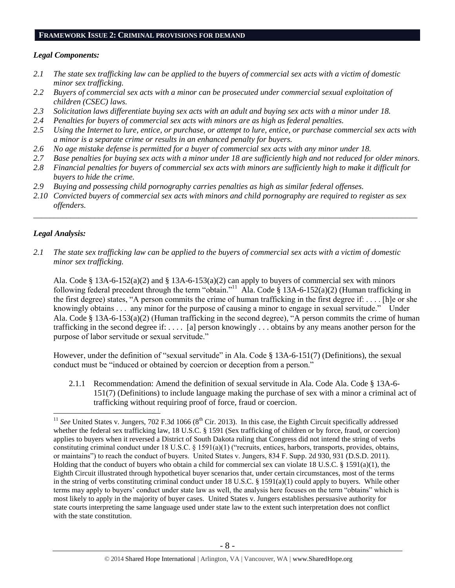#### **FRAMEWORK ISSUE 2: CRIMINAL PROVISIONS FOR DEMAND**

#### *Legal Components:*

- *2.1 The state sex trafficking law can be applied to the buyers of commercial sex acts with a victim of domestic minor sex trafficking.*
- *2.2 Buyers of commercial sex acts with a minor can be prosecuted under commercial sexual exploitation of children (CSEC) laws.*
- *2.3 Solicitation laws differentiate buying sex acts with an adult and buying sex acts with a minor under 18.*
- *2.4 Penalties for buyers of commercial sex acts with minors are as high as federal penalties.*
- *2.5 Using the Internet to lure, entice, or purchase, or attempt to lure, entice, or purchase commercial sex acts with a minor is a separate crime or results in an enhanced penalty for buyers.*
- *2.6 No age mistake defense is permitted for a buyer of commercial sex acts with any minor under 18.*
- *2.7 Base penalties for buying sex acts with a minor under 18 are sufficiently high and not reduced for older minors.*
- *2.8 Financial penalties for buyers of commercial sex acts with minors are sufficiently high to make it difficult for buyers to hide the crime.*
- *2.9 Buying and possessing child pornography carries penalties as high as similar federal offenses.*
- *2.10 Convicted buyers of commercial sex acts with minors and child pornography are required to register as sex offenders.*

\_\_\_\_\_\_\_\_\_\_\_\_\_\_\_\_\_\_\_\_\_\_\_\_\_\_\_\_\_\_\_\_\_\_\_\_\_\_\_\_\_\_\_\_\_\_\_\_\_\_\_\_\_\_\_\_\_\_\_\_\_\_\_\_\_\_\_\_\_\_\_\_\_\_\_\_\_\_\_\_\_\_\_\_\_\_\_\_\_\_\_\_\_\_

## *Legal Analysis:*

 $\overline{a}$ 

*2.1 The state sex trafficking law can be applied to the buyers of commercial sex acts with a victim of domestic minor sex trafficking.*

Ala. Code § 13A-6-152(a)(2) and § 13A-6-153(a)(2) can apply to buyers of commercial sex with minors following federal precedent through the term "obtain."<sup>11</sup> Ala. Code § 13A-6-152(a)(2) (Human trafficking in the first degree) states, "A person commits the crime of human trafficking in the first degree if: . . . . [h]e or she knowingly obtains . . . any minor for the purpose of causing a minor to engage in sexual servitude." Under Ala. Code § 13A-6-153(a)(2) (Human trafficking in the second degree), "A person commits the crime of human trafficking in the second degree if: . . . . [a] person knowingly . . . obtains by any means another person for the purpose of labor servitude or sexual servitude."

However, under the definition of "sexual servitude" in Ala. Code § 13A-6-151(7) (Definitions), the sexual conduct must be "induced or obtained by coercion or deception from a person."

2.1.1 Recommendation: Amend the definition of sexual servitude in Ala. Code Ala. Code § 13A-6- 151(7) (Definitions) to include language making the purchase of sex with a minor a criminal act of trafficking without requiring proof of force, fraud or coercion.

 $11$  *See* United States v. Jungers, 702 F.3d 1066 ( $8<sup>th</sup>$  Cir. 2013). In this case, the Eighth Circuit specifically addressed whether the federal sex trafficking law, 18 U.S.C. § 1591 (Sex trafficking of children or by force, fraud, or coercion) applies to buyers when it reversed a District of South Dakota ruling that Congress did not intend the string of verbs constituting criminal conduct under 18 U.S.C. § 1591(a)(1) ("recruits, entices, harbors, transports, provides, obtains, or maintains") to reach the conduct of buyers. United States v. Jungers, 834 F. Supp. 2d 930, 931 (D.S.D. 2011). Holding that the conduct of buyers who obtain a child for commercial sex can violate 18 U.S.C. § 1591(a)(1), the Eighth Circuit illustrated through hypothetical buyer scenarios that, under certain circumstances, most of the terms in the string of verbs constituting criminal conduct under 18 U.S.C. § 1591(a)(1) could apply to buyers. While other terms may apply to buyers' conduct under state law as well, the analysis here focuses on the term "obtains" which is most likely to apply in the majority of buyer cases. United States v. Jungers establishes persuasive authority for state courts interpreting the same language used under state law to the extent such interpretation does not conflict with the state constitution.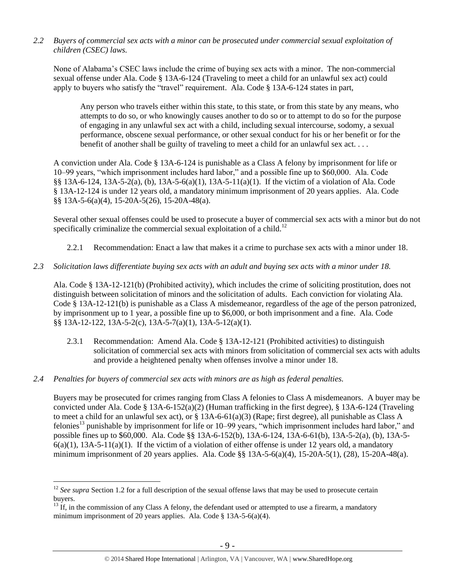*2.2 Buyers of commercial sex acts with a minor can be prosecuted under commercial sexual exploitation of children (CSEC) laws.*

None of Alabama's CSEC laws include the crime of buying sex acts with a minor. The non-commercial sexual offense under Ala. Code § 13A-6-124 (Traveling to meet a child for an unlawful sex act) could apply to buyers who satisfy the "travel" requirement. Ala. Code § 13A-6-124 states in part,

Any person who travels either within this state, to this state, or from this state by any means, who attempts to do so, or who knowingly causes another to do so or to attempt to do so for the purpose of engaging in any unlawful sex act with a child, including sexual intercourse, sodomy, a sexual performance, obscene sexual performance, or other sexual conduct for his or her benefit or for the benefit of another shall be guilty of traveling to meet a child for an unlawful sex act. . . .

A conviction under Ala. Code § 13A-6-124 is punishable as a Class A felony by imprisonment for life or 10–99 years, "which imprisonment includes hard labor," and a possible fine up to \$60,000. Ala. Code §§ 13A-6-124, 13A-5-2(a), (b), 13A-5-6(a)(1), 13A-5-11(a)(1). If the victim of a violation of Ala. Code § 13A-12-124 is under 12 years old, a mandatory minimum imprisonment of 20 years applies. Ala. Code §§ 13A-5-6(a)(4), 15-20A-5(26), 15-20A-48(a).

Several other sexual offenses could be used to prosecute a buyer of commercial sex acts with a minor but do not specifically criminalize the commercial sexual exploitation of a child.<sup>12</sup>

- 2.2.1 Recommendation: Enact a law that makes it a crime to purchase sex acts with a minor under 18.
- *2.3 Solicitation laws differentiate buying sex acts with an adult and buying sex acts with a minor under 18.*

Ala. Code § 13A-12-121(b) (Prohibited activity), which includes the crime of soliciting prostitution, does not distinguish between solicitation of minors and the solicitation of adults. Each conviction for violating Ala. Code § 13A-12-121(b) is punishable as a Class A misdemeanor, regardless of the age of the person patronized, by imprisonment up to 1 year, a possible fine up to \$6,000, or both imprisonment and a fine. Ala. Code §§ 13A-12-122, 13A-5-2(c), 13A-5-7(a)(1), 13A-5-12(a)(1).

- 2.3.1 Recommendation: Amend Ala. Code § 13A-12-121 (Prohibited activities) to distinguish solicitation of commercial sex acts with minors from solicitation of commercial sex acts with adults and provide a heightened penalty when offenses involve a minor under 18.
- *2.4 Penalties for buyers of commercial sex acts with minors are as high as federal penalties.*

 $\overline{a}$ 

<span id="page-8-0"></span>Buyers may be prosecuted for crimes ranging from Class A felonies to Class A misdemeanors. A buyer may be convicted under Ala. Code § 13A-6-152(a)(2) (Human trafficking in the first degree), § 13A-6-124 (Traveling to meet a child for an unlawful sex act), or § 13A-6-61(a)(3) (Rape; first degree), all punishable as Class A felonies<sup>13</sup> punishable by imprisonment for life or 10–99 years, "which imprisonment includes hard labor," and possible fines up to \$60,000. Ala. Code §§ 13A-6-152(b), 13A-6-124, 13A-6-61(b), 13A-5-2(a), (b), 13A-5-  $6(a)(1)$ ,  $13A-5-11(a)(1)$ . If the victim of a violation of either offense is under 12 years old, a mandatory minimum imprisonment of 20 years applies. Ala. Code §§ 13A-5-6(a)(4), 15-20A-5(1), (28), 15-20A-48(a).

<sup>&</sup>lt;sup>12</sup> *See supra* Section 1.2 for a full description of the sexual offense laws that may be used to prosecute certain buyers.

 $13 \text{ If, in the commission of any Class A fellow, the defendant used or attempted to use a firearm, a mandatory.}$ minimum imprisonment of 20 years applies. Ala. Code § 13A-5-6(a)(4).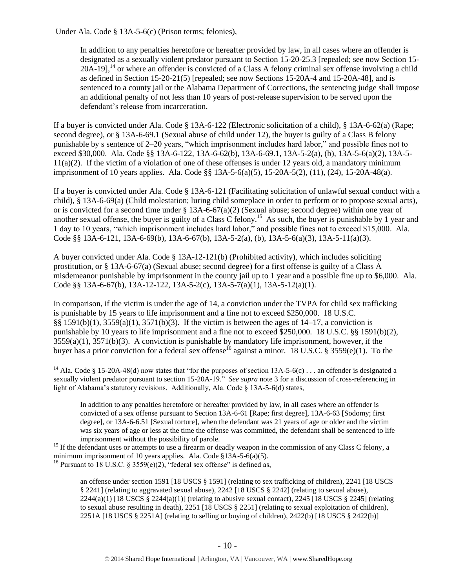Under Ala. Code § 13A-5-6(c) (Prison terms; felonies),

<span id="page-9-0"></span>In addition to any penalties heretofore or hereafter provided by law, in all cases where an offender is designated as a sexually violent predator pursuant to Section 15-20-25.3 [repealed; see now Section 15-  $20A-19$ <sup>14</sup> or where an offender is convicted of a Class A felony criminal sex offense involving a child as defined in Section 15-20-21(5) [repealed; see now Sections 15-20A-4 and 15-20A-48], and is sentenced to a county jail or the Alabama Department of Corrections, the sentencing judge shall impose an additional penalty of not less than 10 years of post-release supervision to be served upon the defendant's release from incarceration.

If a buyer is convicted under Ala. Code § 13A-6-122 (Electronic solicitation of a child), § 13A-6-62(a) (Rape; second degree), or § 13A-6-69.1 (Sexual abuse of child under 12), the buyer is guilty of a Class B felony punishable by s sentence of 2–20 years, "which imprisonment includes hard labor," and possible fines not to exceed \$30,000. Ala. Code §§ 13A-6-122, 13A-6-62(b), 13A-6-69.1, 13A-5-2(a), (b), 13A-5-6(a)(2), 13A-5- 11(a)(2). If the victim of a violation of one of these offenses is under 12 years old, a mandatory minimum imprisonment of 10 years applies. Ala. Code §§ 13A-5-6(a)(5), 15-20A-5(2), (11), (24), 15-20A-48(a).

<span id="page-9-1"></span>If a buyer is convicted under Ala. Code § 13A-6-121 (Facilitating solicitation of unlawful sexual conduct with a child), § 13A-6-69(a) (Child molestation; luring child someplace in order to perform or to propose sexual acts), or is convicted for a second time under  $\S$  13A-6-67(a)(2) (Sexual abuse; second degree) within one year of another sexual offense, the buyer is guilty of a Class C felony.<sup>15</sup> As such, the buyer is punishable by 1 year and 1 day to 10 years, "which imprisonment includes hard labor," and possible fines not to exceed \$15,000. Ala. Code §§ 13A-6-121, 13A-6-69(b), 13A-6-67(b), 13A-5-2(a), (b), 13A-5-6(a)(3), 13A-5-11(a)(3).

A buyer convicted under Ala. Code § 13A-12-121(b) (Prohibited activity), which includes soliciting prostitution, or § 13A-6-67(a) (Sexual abuse; second degree) for a first offense is guilty of a Class A misdemeanor punishable by imprisonment in the county jail up to 1 year and a possible fine up to \$6,000. Ala. Code §§ 13A-6-67(b), 13A-12-122, 13A-5-2(c), 13A-5-7(a)(1), 13A-5-12(a)(1).

In comparison, if the victim is under the age of 14, a conviction under the TVPA for child sex trafficking is punishable by 15 years to life imprisonment and a fine not to exceed \$250,000. 18 U.S.C. §§ 1591(b)(1), 3559(a)(1), 3571(b)(3). If the victim is between the ages of 14–17, a conviction is punishable by 10 years to life imprisonment and a fine not to exceed \$250,000. 18 U.S.C. §§ 1591(b)(2), 3559(a)(1), 3571(b)(3). A conviction is punishable by mandatory life imprisonment, however, if the buyer has a prior conviction for a federal sex offense<sup>16</sup> against a minor. 18 U.S.C. § 3559(e)(1). To the

<sup>&</sup>lt;sup>14</sup> Ala. Code § 15-20A-48(d) now states that "for the purposes of section 13A-5-6(c) . . . an offender is designated a sexually violent predator pursuant to section 15-20A-19." *See supra* note [3](#page-1-0) for a discussion of cross-referencing in light of Alabama's statutory revisions. Additionally, Ala. Code § 13A-5-6(d) states,

<span id="page-9-2"></span>In addition to any penalties heretofore or hereafter provided by law, in all cases where an offender is convicted of a sex offense pursuant to Section 13A-6-61 [Rape; first degree], 13A-6-63 [Sodomy; first degree], or 13A-6-6.51 [Sexual torture], when the defendant was 21 years of age or older and the victim was six years of age or less at the time the offense was committed, the defendant shall be sentenced to life imprisonment without the possibility of parole.

<sup>&</sup>lt;sup>15</sup> If the defendant uses or attempts to use a firearm or deadly weapon in the commission of any Class C felony, a minimum imprisonment of 10 years applies. Ala. Code §13A-5-6(a)(5).

<sup>&</sup>lt;sup>16</sup> Pursuant to 18 U.S.C. § 3559(e)(2), "federal sex offense" is defined as,

an offense under section 1591 [18 USCS § 1591] (relating to sex trafficking of children), 2241 [18 USCS § 2241] (relating to aggravated sexual abuse), 2242 [18 USCS § 2242] (relating to sexual abuse), 2244(a)(1) [18 USCS § 2244(a)(1)] (relating to abusive sexual contact), 2245 [18 USCS § 2245] (relating to sexual abuse resulting in death), 2251 [18 USCS § 2251] (relating to sexual exploitation of children), 2251A [18 USCS § 2251A] (relating to selling or buying of children), 2422(b) [18 USCS § 2422(b)]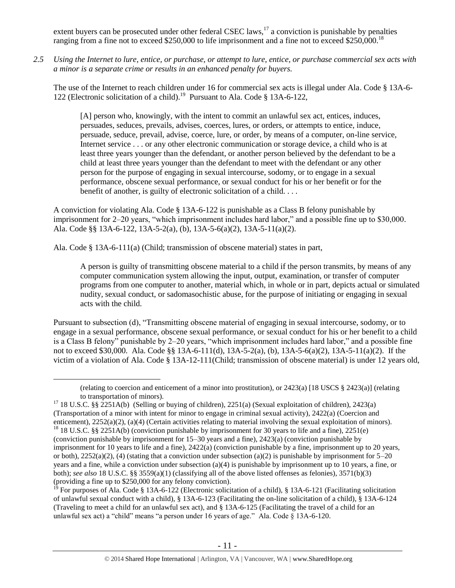extent buyers can be prosecuted under other federal CSEC laws,<sup>17</sup> a conviction is punishable by penalties ranging from a fine not to exceed \$250,000 to life imprisonment and a fine not to exceed \$250,000.<sup>18</sup>

*2.5 Using the Internet to lure, entice, or purchase, or attempt to lure, entice, or purchase commercial sex acts with a minor is a separate crime or results in an enhanced penalty for buyers.*

The use of the Internet to reach children under 16 for commercial sex acts is illegal under Ala. Code § 13A-6- 122 (Electronic solicitation of a child).<sup>19</sup> Pursuant to Ala. Code § 13A-6-122,

[A] person who, knowingly, with the intent to commit an unlawful sex act, entices, induces, persuades, seduces, prevails, advises, coerces, lures, or orders, or attempts to entice, induce, persuade, seduce, prevail, advise, coerce, lure, or order, by means of a computer, on-line service, Internet service . . . or any other electronic communication or storage device, a child who is at least three years younger than the defendant, or another person believed by the defendant to be a child at least three years younger than the defendant to meet with the defendant or any other person for the purpose of engaging in sexual intercourse, sodomy, or to engage in a sexual performance, obscene sexual performance, or sexual conduct for his or her benefit or for the benefit of another, is guilty of electronic solicitation of a child. . . .

A conviction for violating Ala. Code § 13A-6-122 is punishable as a Class B felony punishable by imprisonment for 2–20 years, "which imprisonment includes hard labor," and a possible fine up to \$30,000. Ala. Code §§ 13A-6-122, 13A-5-2(a), (b), 13A-5-6(a)(2), 13A-5-11(a)(2).

Ala. Code § 13A-6-111(a) (Child; transmission of obscene material) states in part,

 $\overline{a}$ 

A person is guilty of transmitting obscene material to a child if the person transmits, by means of any computer communication system allowing the input, output, examination, or transfer of computer programs from one computer to another, material which, in whole or in part, depicts actual or simulated nudity, sexual conduct, or sadomasochistic abuse, for the purpose of initiating or engaging in sexual acts with the child.

Pursuant to subsection (d), "Transmitting obscene material of engaging in sexual intercourse, sodomy, or to engage in a sexual performance, obscene sexual performance, or sexual conduct for his or her benefit to a child is a Class B felony" punishable by 2–20 years, "which imprisonment includes hard labor," and a possible fine not to exceed \$30,000. Ala. Code §§ 13A-6-111(d), 13A-5-2(a), (b), 13A-5-6(a)(2), 13A-5-11(a)(2). If the victim of a violation of Ala. Code § 13A-12-111(Child; transmission of obscene material) is under 12 years old,

<sup>(</sup>relating to coercion and enticement of a minor into prostitution), or 2423(a) [18 USCS § 2423(a)] (relating to transportation of minors).

<sup>&</sup>lt;sup>17</sup> 18 U.S.C. §§ 2251A(b) (Selling or buying of children), 2251(a) (Sexual exploitation of children), 2423(a) (Transportation of a minor with intent for minor to engage in criminal sexual activity), 2422(a) (Coercion and enticement), 2252(a)(2), (a)(4) (Certain activities relating to material involving the sexual exploitation of minors). <sup>18</sup> 18 U.S.C. §§ 2251A(b) (conviction punishable by imprisonment for 30 years to life and a fine), 2251(e) (conviction punishable by imprisonment for 15–30 years and a fine), 2423(a) (conviction punishable by imprisonment for 10 years to life and a fine), 2422(a) (conviction punishable by a fine, imprisonment up to 20 years, or both),  $2252(a)(2)$ , (4) (stating that a conviction under subsection (a)(2) is punishable by imprisonment for  $5-20$ years and a fine, while a conviction under subsection (a)(4) is punishable by imprisonment up to 10 years, a fine, or both); *see also* 18 U.S.C. §§ 3559(a)(1) (classifying all of the above listed offenses as felonies), 3571(b)(3) (providing a fine up to \$250,000 for any felony conviction).

<sup>&</sup>lt;sup>19</sup> For purposes of Ala. Code § 13A-6-122 (Electronic solicitation of a child), § 13A-6-121 (Facilitating solicitation of unlawful sexual conduct with a child), § 13A-6-123 (Facilitating the on-line solicitation of a child), § 13A-6-124 (Traveling to meet a child for an unlawful sex act), and § 13A-6-125 (Facilitating the travel of a child for an unlawful sex act) a "child" means "a person under 16 years of age." Ala. Code § 13A-6-120.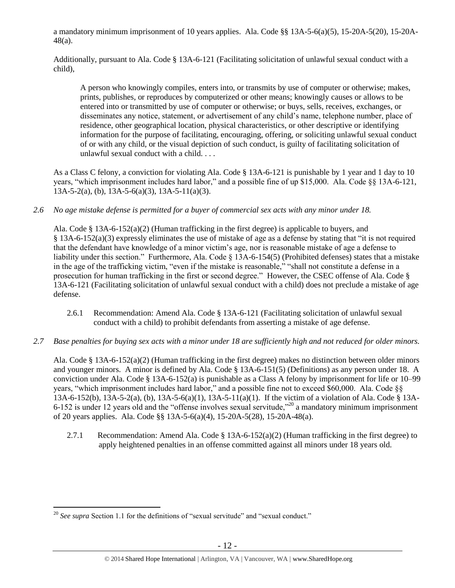a mandatory minimum imprisonment of 10 years applies. Ala. Code §§ 13A-5-6(a)(5), 15-20A-5(20), 15-20A-48(a).

Additionally, pursuant to Ala. Code § 13A-6-121 (Facilitating solicitation of unlawful sexual conduct with a child),

A person who knowingly compiles, enters into, or transmits by use of computer or otherwise; makes, prints, publishes, or reproduces by computerized or other means; knowingly causes or allows to be entered into or transmitted by use of computer or otherwise; or buys, sells, receives, exchanges, or disseminates any notice, statement, or advertisement of any child's name, telephone number, place of residence, other geographical location, physical characteristics, or other descriptive or identifying information for the purpose of facilitating, encouraging, offering, or soliciting unlawful sexual conduct of or with any child, or the visual depiction of such conduct, is guilty of facilitating solicitation of unlawful sexual conduct with a child. . . .

As a Class C felony, a conviction for violating Ala. Code § 13A-6-121 is punishable by 1 year and 1 day to 10 years, "which imprisonment includes hard labor," and a possible fine of up \$15,000. Ala. Code §§ 13A-6-121, 13A-5-2(a), (b), 13A-5-6(a)(3), 13A-5-11(a)(3).

*2.6 No age mistake defense is permitted for a buyer of commercial sex acts with any minor under 18.*

Ala. Code § 13A-6-152(a)(2) (Human trafficking in the first degree) is applicable to buyers, and § 13A-6-152(a)(3) expressly eliminates the use of mistake of age as a defense by stating that "it is not required that the defendant have knowledge of a minor victim's age, nor is reasonable mistake of age a defense to liability under this section." Furthermore, Ala. Code § 13A-6-154(5) (Prohibited defenses) states that a mistake in the age of the trafficking victim, "even if the mistake is reasonable," "shall not constitute a defense in a prosecution for human trafficking in the first or second degree." However, the CSEC offense of Ala. Code § 13A-6-121 (Facilitating solicitation of unlawful sexual conduct with a child) does not preclude a mistake of age defense.

- 2.6.1 Recommendation: Amend Ala. Code § 13A-6-121 (Facilitating solicitation of unlawful sexual conduct with a child) to prohibit defendants from asserting a mistake of age defense.
- *2.7 Base penalties for buying sex acts with a minor under 18 are sufficiently high and not reduced for older minors.*

Ala. Code § 13A-6-152(a)(2) (Human trafficking in the first degree) makes no distinction between older minors and younger minors. A minor is defined by Ala. Code § 13A-6-151(5) (Definitions) as any person under 18. A conviction under Ala. Code § 13A-6-152(a) is punishable as a Class A felony by imprisonment for life or 10–99 years, "which imprisonment includes hard labor," and a possible fine not to exceed \$60,000. Ala. Code §§ 13A-6-152(b), 13A-5-2(a), (b), 13A-5-6(a)(1), 13A-5-11(a)(1). If the victim of a violation of Ala. Code § 13A-6-152 is under 12 years old and the "offense involves sexual servitude,"<sup>20</sup> a mandatory minimum imprisonment of 20 years applies. Ala. Code §§ 13A-5-6(a)(4), 15-20A-5(28), 15-20A-48(a).

2.7.1 Recommendation: Amend Ala. Code § 13A-6-152(a)(2) (Human trafficking in the first degree) to apply heightened penalties in an offense committed against all minors under 18 years old.

 $\overline{a}$ <sup>20</sup> *See supra* Section 1.1 for the definitions of "sexual servitude" and "sexual conduct."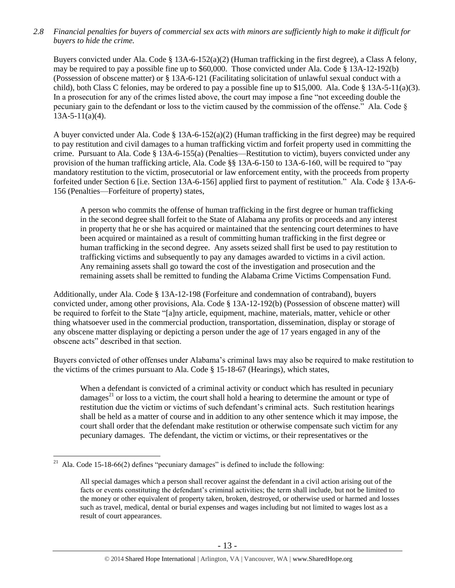*2.8 Financial penalties for buyers of commercial sex acts with minors are sufficiently high to make it difficult for buyers to hide the crime.* 

Buyers convicted under Ala. Code § 13A-6-152(a)(2) (Human trafficking in the first degree), a Class A felony, may be required to pay a possible fine up to \$60,000. Those convicted under Ala. Code § 13A-12-192(b) (Possession of obscene matter) or § 13A-6-121 (Facilitating solicitation of unlawful sexual conduct with a child), both Class C felonies, may be ordered to pay a possible fine up to \$15,000. Ala. Code § 13A-5-11(a)(3). In a prosecution for any of the crimes listed above, the court may impose a fine "not exceeding double the pecuniary gain to the defendant or loss to the victim caused by the commission of the offense." Ala. Code § 13A-5-11(a)(4).

A buyer convicted under Ala. Code  $\S 13A-6-152(a)(2)$  (Human trafficking in the first degree) may be required to pay restitution and civil damages to a human trafficking victim and forfeit property used in committing the crime. Pursuant to Ala. Code § 13A-6-155(a) (Penalties—Restitution to victim), buyers convicted under any provision of the human trafficking article, Ala. Code §§ 13A-6-150 to 13A-6-160, will be required to "pay mandatory restitution to the victim, prosecutorial or law enforcement entity, with the proceeds from property forfeited under Section 6 [i.e. Section 13A-6-156] applied first to payment of restitution." Ala. Code § 13A-6- 156 (Penalties—Forfeiture of property) states,

A person who commits the offense of human trafficking in the first degree or human trafficking in the second degree shall forfeit to the State of Alabama any profits or proceeds and any interest in property that he or she has acquired or maintained that the sentencing court determines to have been acquired or maintained as a result of committing human trafficking in the first degree or human trafficking in the second degree. Any assets seized shall first be used to pay restitution to trafficking victims and subsequently to pay any damages awarded to victims in a civil action. Any remaining assets shall go toward the cost of the investigation and prosecution and the remaining assets shall be remitted to funding the Alabama Crime Victims Compensation Fund.

Additionally, under Ala. Code § 13A-12-198 (Forfeiture and condemnation of contraband), buyers convicted under, among other provisions, Ala. Code § 13A-12-192(b) (Possession of obscene matter) will be required to forfeit to the State "[a]ny article, equipment, machine, materials, matter, vehicle or other thing whatsoever used in the commercial production, transportation, dissemination, display or storage of any obscene matter displaying or depicting a person under the age of 17 years engaged in any of the obscene acts" described in that section.

Buyers convicted of other offenses under Alabama's criminal laws may also be required to make restitution to the victims of the crimes pursuant to Ala. Code § 15-18-67 (Hearings), which states,

<span id="page-12-0"></span>When a defendant is convicted of a criminal activity or conduct which has resulted in pecuniary damages<sup>21</sup> or loss to a victim, the court shall hold a hearing to determine the amount or type of restitution due the victim or victims of such defendant's criminal acts. Such restitution hearings shall be held as a matter of course and in addition to any other sentence which it may impose, the court shall order that the defendant make restitution or otherwise compensate such victim for any pecuniary damages. The defendant, the victim or victims, or their representatives or the

<sup>&</sup>lt;sup>21</sup> Ala. Code 15-18-66(2) defines "pecuniary damages" is defined to include the following:

All special damages which a person shall recover against the defendant in a civil action arising out of the facts or events constituting the defendant's criminal activities; the term shall include, but not be limited to the money or other equivalent of property taken, broken, destroyed, or otherwise used or harmed and losses such as travel, medical, dental or burial expenses and wages including but not limited to wages lost as a result of court appearances.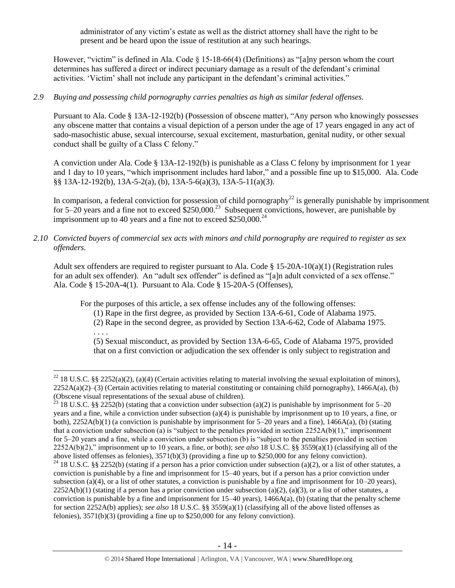administrator of any victim's estate as well as the district attorney shall have the right to be present and be heard upon the issue of restitution at any such hearings.

However, "victim" is defined in Ala. Code § 15-18-66(4) (Definitions) as "[a]ny person whom the court determines has suffered a direct or indirect pecuniary damage as a result of the defendant's criminal activities. 'Victim' shall not include any participant in the defendant's criminal activities."

## *2.9 Buying and possessing child pornography carries penalties as high as similar federal offenses.*

Pursuant to Ala. Code § 13A-12-192(b) (Possession of obscene matter), "Any person who knowingly possesses any obscene matter that contains a visual depiction of a person under the age of 17 years engaged in any act of sado-masochistic abuse, sexual intercourse, sexual excitement, masturbation, genital nudity, or other sexual conduct shall be guilty of a Class C felony."

A conviction under Ala. Code § 13A-12-192(b) is punishable as a Class C felony by imprisonment for 1 year and 1 day to 10 years, "which imprisonment includes hard labor," and a possible fine up to \$15,000. Ala. Code §§ 13A-12-192(b), 13A-5-2(a), (b), 13A-5-6(a)(3), 13A-5-11(a)(3).

In comparison, a federal conviction for possession of child pornography<sup>22</sup> is generally punishable by imprisonment for 5–20 years and a fine not to exceed \$250,000.<sup>23</sup> Subsequent convictions, however, are punishable by imprisonment up to 40 years and a fine not to exceed  $$250,000.<sup>24</sup>$ 

*2.10 Convicted buyers of commercial sex acts with minors and child pornography are required to register as sex offenders.* 

Adult sex offenders are required to register pursuant to Ala. Code § 15-20A-10(a)(1) (Registration rules for an adult sex offender). An "adult sex offender" is defined as "[a]n adult convicted of a sex offense." Ala. Code § 15-20A-4(1). Pursuant to Ala. Code § 15-20A-5 (Offenses),

For the purposes of this article, a sex offense includes any of the following offenses:

- (1) Rape in the first degree, as provided by Section 13A-6-61, Code of Alabama 1975.
- (2) Rape in the second degree, as provided by Section 13A-6-62, Code of Alabama 1975.

. . . .

 $\overline{a}$ 

(5) Sexual misconduct, as provided by Section 13A-6-65, Code of Alabama 1975, provided that on a first conviction or adjudication the sex offender is only subject to registration and

<sup>&</sup>lt;sup>22</sup> 18 U.S.C. §§ 2252(a)(2), (a)(4) (Certain activities relating to material involving the sexual exploitation of minors),  $2252A(a)(2)$ –(3) (Certain activities relating to material constituting or containing child pornography), 1466A(a), (b) (Obscene visual representations of the sexual abuse of children).

<sup>&</sup>lt;sup>23</sup> 18 U.S.C. §§ 2252(b) (stating that a conviction under subsection (a)(2) is punishable by imprisonment for 5–20 years and a fine, while a conviction under subsection (a)(4) is punishable by imprisonment up to 10 years, a fine, or both), 2252A(b)(1) (a conviction is punishable by imprisonment for 5–20 years and a fine), 1466A(a), (b) (stating that a conviction under subsection (a) is "subject to the penalties provided in section  $2252A(b)(1)$ ," imprisonment for 5–20 years and a fine, while a conviction under subsection (b) is "subject to the penalties provided in section 2252A(b)(2)," imprisonment up to 10 years, a fine, or both); *see also* 18 U.S.C. §§ 3559(a)(1) (classifying all of the above listed offenses as felonies), 3571(b)(3) (providing a fine up to \$250,000 for any felony conviction).

<sup>&</sup>lt;sup>24</sup> 18 U.S.C. §§ 2252(b) (stating if a person has a prior conviction under subsection (a)(2), or a list of other statutes, a conviction is punishable by a fine and imprisonment for 15–40 years, but if a person has a prior conviction under subsection (a)(4), or a list of other statutes, a conviction is punishable by a fine and imprisonment for  $10-20$  years),  $2252A(b)(1)$  (stating if a person has a prior conviction under subsection (a)(2), (a)(3), or a list of other statutes, a conviction is punishable by a fine and imprisonment for 15–40 years), 1466A(a), (b) (stating that the penalty scheme for section 2252A(b) applies); *see also* 18 U.S.C. §§ 3559(a)(1) (classifying all of the above listed offenses as felonies), 3571(b)(3) (providing a fine up to \$250,000 for any felony conviction).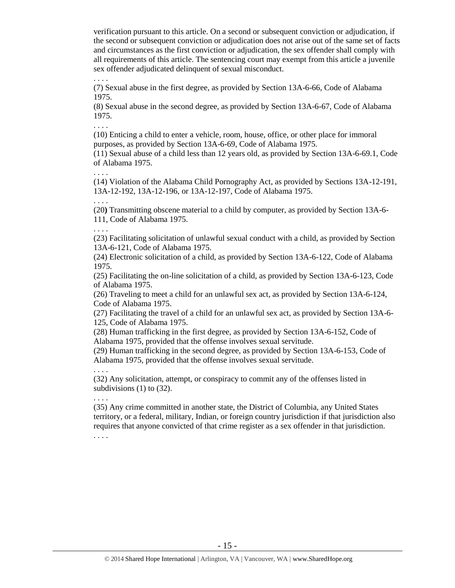verification pursuant to this article. On a second or subsequent conviction or adjudication, if the second or subsequent conviction or adjudication does not arise out of the same set of facts and circumstances as the first conviction or adjudication, the sex offender shall comply with all requirements of this article. The sentencing court may exempt from this article a juvenile sex offender adjudicated delinquent of sexual misconduct.

(7) Sexual abuse in the first degree, as provided by Section 13A-6-66, Code of Alabama 1975.

(8) Sexual abuse in the second degree, as provided by Section 13A-6-67, Code of Alabama 1975.

. . . .

. . . .

(10) Enticing a child to enter a vehicle, room, house, office, or other place for immoral purposes, as provided by Section 13A-6-69, Code of Alabama 1975.

(11) Sexual abuse of a child less than 12 years old, as provided by Section 13A-6-69.1, Code of Alabama 1975.

. . . . (14) Violation of the Alabama Child Pornography Act, as provided by Sections 13A-12-191, 13A-12-192, 13A-12-196, or 13A-12-197, Code of Alabama 1975.

(20**)** Transmitting obscene material to a child by computer, as provided by Section 13A-6- 111, Code of Alabama 1975.

. . . .

. . . .

(23) Facilitating solicitation of unlawful sexual conduct with a child, as provided by Section 13A-6-121, Code of Alabama 1975.

(24) Electronic solicitation of a child, as provided by Section 13A-6-122, Code of Alabama 1975.

(25) Facilitating the on-line solicitation of a child, as provided by Section 13A-6-123, Code of Alabama 1975.

(26) Traveling to meet a child for an unlawful sex act, as provided by Section 13A-6-124, Code of Alabama 1975.

(27) Facilitating the travel of a child for an unlawful sex act, as provided by Section 13A-6- 125, Code of Alabama 1975.

(28) Human trafficking in the first degree, as provided by Section 13A-6-152, Code of Alabama 1975, provided that the offense involves sexual servitude.

(29) Human trafficking in the second degree, as provided by Section 13A-6-153, Code of Alabama 1975, provided that the offense involves sexual servitude.

(32) Any solicitation, attempt, or conspiracy to commit any of the offenses listed in subdivisions (1) to (32).

. . . .

. . . .

(35) Any crime committed in another state, the District of Columbia, any United States territory, or a federal, military, Indian, or foreign country jurisdiction if that jurisdiction also requires that anyone convicted of that crime register as a sex offender in that jurisdiction.

. . . .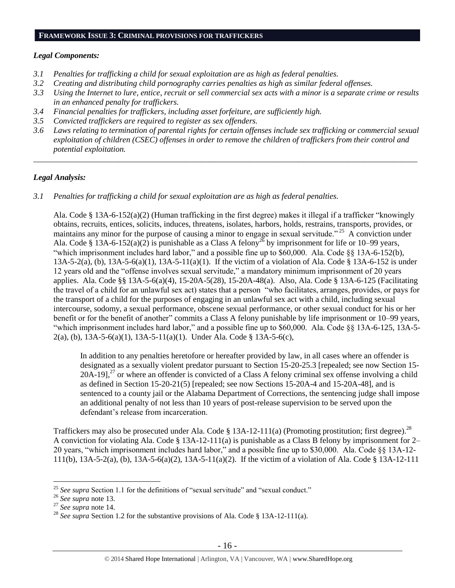#### **FRAMEWORK ISSUE 3: CRIMINAL PROVISIONS FOR TRAFFICKERS**

## *Legal Components:*

- *3.1 Penalties for trafficking a child for sexual exploitation are as high as federal penalties.*
- *3.2 Creating and distributing child pornography carries penalties as high as similar federal offenses.*
- *3.3 Using the Internet to lure, entice, recruit or sell commercial sex acts with a minor is a separate crime or results in an enhanced penalty for traffickers.*
- *3.4 Financial penalties for traffickers, including asset forfeiture, are sufficiently high.*
- *3.5 Convicted traffickers are required to register as sex offenders.*
- *3.6 Laws relating to termination of parental rights for certain offenses include sex trafficking or commercial sexual exploitation of children (CSEC) offenses in order to remove the children of traffickers from their control and potential exploitation.*

*\_\_\_\_\_\_\_\_\_\_\_\_\_\_\_\_\_\_\_\_\_\_\_\_\_\_\_\_\_\_\_\_\_\_\_\_\_\_\_\_\_\_\_\_\_\_\_\_\_\_\_\_\_\_\_\_\_\_\_\_\_\_\_\_\_\_\_\_\_\_\_\_\_\_\_\_\_\_\_\_\_\_\_\_\_\_\_\_\_\_\_\_\_\_*

## *Legal Analysis:*

*3.1 Penalties for trafficking a child for sexual exploitation are as high as federal penalties.* 

Ala. Code § 13A-6-152(a)(2) (Human trafficking in the first degree) makes it illegal if a trafficker "knowingly obtains, recruits, entices, solicits, induces, threatens, isolates, harbors, holds, restrains, transports, provides, or maintains any minor for the purpose of causing a minor to engage in sexual servitude."<sup>25</sup> A conviction under Ala. Code § 13A-6-152(a)(2) is punishable as a Class A felony<sup>26</sup> by imprisonment for life or 10–99 years, "which imprisonment includes hard labor," and a possible fine up to \$60,000. Ala. Code §§ 13A-6-152(b), 13A-5-2(a), (b), 13A-5-6(a)(1), 13A-5-11(a)(1). If the victim of a violation of Ala. Code § 13A-6-152 is under 12 years old and the "offense involves sexual servitude," a mandatory minimum imprisonment of 20 years applies. Ala. Code §§ 13A-5-6(a)(4), 15-20A-5(28), 15-20A-48(a). Also, Ala. Code § 13A-6-125 (Facilitating the travel of a child for an unlawful sex act) states that a person "who facilitates, arranges, provides, or pays for the transport of a child for the purposes of engaging in an unlawful sex act with a child, including sexual intercourse, sodomy, a sexual performance, obscene sexual performance, or other sexual conduct for his or her benefit or for the benefit of another" commits a Class A felony punishable by life imprisonment or 10–99 years, "which imprisonment includes hard labor," and a possible fine up to \$60,000. Ala. Code §§ 13A-6-125, 13A-5- 2(a), (b), 13A-5-6(a)(1), 13A-5-11(a)(1). Under Ala. Code § 13A-5-6(c),

In addition to any penalties heretofore or hereafter provided by law, in all cases where an offender is designated as a sexually violent predator pursuant to Section 15-20-25.3 [repealed; see now Section 15-  $20A-19$ ],<sup>27</sup> or where an offender is convicted of a Class A felony criminal sex offense involving a child as defined in Section 15-20-21(5) [repealed; see now Sections 15-20A-4 and 15-20A-48], and is sentenced to a county jail or the Alabama Department of Corrections, the sentencing judge shall impose an additional penalty of not less than 10 years of post-release supervision to be served upon the defendant's release from incarceration.

Traffickers may also be prosecuted under Ala. Code  $\S 13A-12-111(a)$  (Promoting prostitution; first degree).<sup>28</sup> A conviction for violating Ala. Code  $\S$  13A-12-111(a) is punishable as a Class B felony by imprisonment for 2– 20 years, "which imprisonment includes hard labor," and a possible fine up to \$30,000. Ala. Code §§ 13A-12- 111(b), 13A-5-2(a), (b), 13A-5-6(a)(2), 13A-5-11(a)(2). If the victim of a violation of Ala. Code § 13A-12-111

<sup>&</sup>lt;sup>25</sup> See supra Section 1.1 for the definitions of "sexual servitude" and "sexual conduct."

<sup>26</sup> *See supra* note [13.](#page-8-0)

<sup>27</sup> *See supra* note [14.](#page-9-0)

<sup>&</sup>lt;sup>28</sup> *See supra* Section 1.2 for the substantive provisions of Ala. Code § 13A-12-111(a).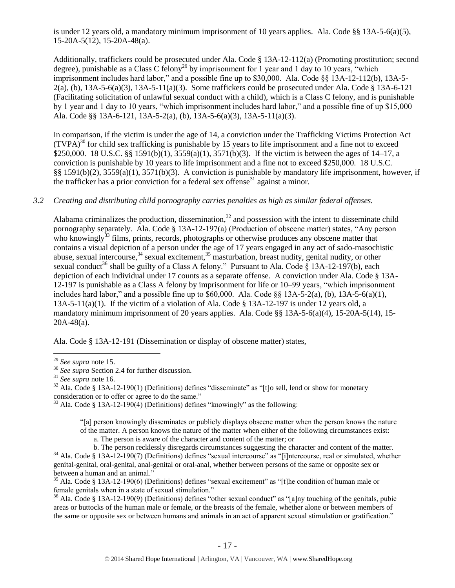is under 12 years old, a mandatory minimum imprisonment of 10 years applies. Ala. Code §§ 13A-5-6(a)(5), 15-20A-5(12), 15-20A-48(a).

Additionally, traffickers could be prosecuted under Ala. Code § 13A-12-112(a) (Promoting prostitution; second degree), punishable as a Class C felony<sup>29</sup> by imprisonment for 1 year and 1 day to 10 years, "which imprisonment includes hard labor," and a possible fine up to \$30,000. Ala. Code §§ 13A-12-112(b), 13A-5-  $2(a)$ , (b), 13A-5-6(a)(3), 13A-5-11(a)(3). Some traffickers could be prosecuted under Ala. Code § 13A-6-121 (Facilitating solicitation of unlawful sexual conduct with a child), which is a Class C felony, and is punishable by 1 year and 1 day to 10 years, "which imprisonment includes hard labor," and a possible fine of up \$15,000 Ala. Code §§ 13A-6-121, 13A-5-2(a), (b), 13A-5-6(a)(3), 13A-5-11(a)(3).

In comparison, if the victim is under the age of 14, a conviction under the Trafficking Victims Protection Act  $(TVPA)<sup>30</sup>$  for child sex trafficking is punishable by 15 years to life imprisonment and a fine not to exceed \$250,000. 18 U.S.C. §§ 1591(b)(1), 3559(a)(1), 3571(b)(3). If the victim is between the ages of 14–17, a conviction is punishable by 10 years to life imprisonment and a fine not to exceed \$250,000. 18 U.S.C. §§ 1591(b)(2), 3559(a)(1), 3571(b)(3). A conviction is punishable by mandatory life imprisonment, however, if the trafficker has a prior conviction for a federal sex offense<sup>31</sup> against a minor.

## *3.2 Creating and distributing child pornography carries penalties as high as similar federal offenses.*

<span id="page-16-4"></span><span id="page-16-3"></span><span id="page-16-2"></span><span id="page-16-1"></span><span id="page-16-0"></span>Alabama criminalizes the production, dissemination, $32$  and possession with the intent to disseminate child pornography separately. Ala. Code § 13A-12-197(a) (Production of obscene matter) states, "Any person who knowingly<sup>33</sup> films, prints, records, photographs or otherwise produces any obscene matter that contains a visual depiction of a person under the age of 17 years engaged in any act of sado-masochistic abuse, sexual intercourse,  $34$  sexual excitement,  $35$  masturbation, breast nudity, genital nudity, or other sexual conduct<sup>36</sup> shall be guilty of a Class A felony." Pursuant to Ala. Code § 13A-12-197(b), each depiction of each individual under 17 counts as a separate offense. A conviction under Ala. Code § 13A-12-197 is punishable as a Class A felony by imprisonment for life or 10–99 years, "which imprisonment includes hard labor," and a possible fine up to  $$60,000$ . Ala. Code  $\S$ § 13A-5-2(a), (b), 13A-5-6(a)(1), 13A-5-11(a)(1). If the victim of a violation of Ala. Code § 13A-12-197 is under 12 years old, a mandatory minimum imprisonment of 20 years applies. Ala. Code §§ 13A-5-6(a)(4), 15-20A-5(14), 15- 20A-48(a).

Ala. Code § 13A-12-191 (Dissemination or display of obscene matter) states,

 $\overline{a}$ 

 $33$  Ala. Code § 13A-12-190(4) (Definitions) defines "knowingly" as the following:

"[a] person knowingly disseminates or publicly displays obscene matter when the person knows the nature of the matter. A person knows the nature of the matter when either of the following circumstances exist:

a. The person is aware of the character and content of the matter; or

b. The person recklessly disregards circumstances suggesting the character and content of the matter.

<sup>34</sup> Ala. Code § 13A-12-190(7) (Definitions) defines "sexual intercourse" as "[i]ntercourse, real or simulated, whether genital-genital, oral-genital, anal-genital or oral-anal, whether between persons of the same or opposite sex or between a human and an animal."

 $36$  Ala. Code § 13A-12-190(9) (Definitions) defines "other sexual conduct" as "[a]ny touching of the genitals, pubic areas or buttocks of the human male or female, or the breasts of the female, whether alone or between members of the same or opposite sex or between humans and animals in an act of apparent sexual stimulation or gratification."

<sup>29</sup> *See supra* note [15.](#page-9-1)

<sup>30</sup> *See supra* Section 2.4 for further discussion.

<sup>31</sup> *See supra* note [16.](#page-9-2) 

 $32$  Ala. Code § 13A-12-190(1) (Definitions) defines "disseminate" as "[t]o sell, lend or show for monetary consideration or to offer or agree to do the same."

 $35$  Ala. Code § 13A-12-190(6) (Definitions) defines "sexual excitement" as "[t]he condition of human male or female genitals when in a state of sexual stimulation."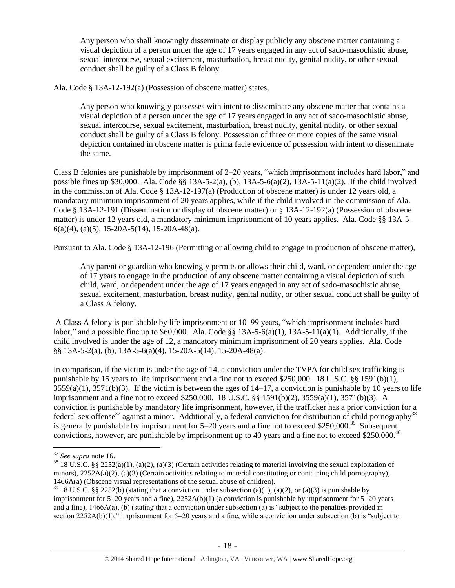Any person who shall knowingly disseminate or display publicly any obscene matter containing a visual depiction of a person under the age of 17 years engaged in any act of sado-masochistic abuse, sexual intercourse, sexual excitement, masturbation, breast nudity, genital nudity, or other sexual conduct shall be guilty of a Class B felony.

Ala. Code § 13A-12-192(a) (Possession of obscene matter) states,

Any person who knowingly possesses with intent to disseminate any obscene matter that contains a visual depiction of a person under the age of 17 years engaged in any act of sado-masochistic abuse, sexual intercourse, sexual excitement, masturbation, breast nudity, genital nudity, or other sexual conduct shall be guilty of a Class B felony. Possession of three or more copies of the same visual depiction contained in obscene matter is prima facie evidence of possession with intent to disseminate the same.

Class B felonies are punishable by imprisonment of 2–20 years, "which imprisonment includes hard labor," and possible fines up \$30,000. Ala. Code §§ 13A-5-2(a), (b), 13A-5-6(a)(2), 13A-5-11(a)(2). If the child involved in the commission of Ala. Code  $\S$  13A-12-197(a) (Production of obscene matter) is under 12 years old, a mandatory minimum imprisonment of 20 years applies, while if the child involved in the commission of Ala. Code § 13A-12-191 (Dissemination or display of obscene matter) or § 13A-12-192(a) (Possession of obscene matter) is under 12 years old, a mandatory minimum imprisonment of 10 years applies. Ala. Code §§ 13A-5-  $6(a)(4)$ ,  $(a)(5)$ , 15-20A-5(14), 15-20A-48(a).

Pursuant to Ala. Code § 13A-12-196 (Permitting or allowing child to engage in production of obscene matter),

Any parent or guardian who knowingly permits or allows their child, ward, or dependent under the age of 17 years to engage in the production of any obscene matter containing a visual depiction of such child, ward, or dependent under the age of 17 years engaged in any act of sado-masochistic abuse, sexual excitement, masturbation, breast nudity, genital nudity, or other sexual conduct shall be guilty of a Class A felony.

A Class A felony is punishable by life imprisonment or 10–99 years, "which imprisonment includes hard labor," and a possible fine up to  $$60,000$ . Ala. Code  $\$  13A-5-6(a)(1), 13A-5-11(a)(1). Additionally, if the child involved is under the age of 12, a mandatory minimum imprisonment of 20 years applies. Ala. Code §§ 13A-5-2(a), (b), 13A-5-6(a)(4), 15-20A-5(14), 15-20A-48(a).

In comparison, if the victim is under the age of 14, a conviction under the TVPA for child sex trafficking is punishable by 15 years to life imprisonment and a fine not to exceed \$250,000. 18 U.S.C. §§ 1591(b)(1),  $3559(a)(1)$ ,  $3571(b)(3)$ . If the victim is between the ages of  $14-17$ , a conviction is punishable by 10 years to life imprisonment and a fine not to exceed \$250,000. 18 U.S.C. §§ 1591(b)(2), 3559(a)(1), 3571(b)(3). A conviction is punishable by mandatory life imprisonment, however, if the trafficker has a prior conviction for a federal sex offense<sup>37</sup> against a minor. Additionally, a federal conviction for distribution of child pornography<sup>38</sup> is generally punishable by imprisonment for 5–20 years and a fine not to exceed \$250,000.<sup>39</sup> Subsequent convictions, however, are punishable by imprisonment up to 40 years and a fine not to exceed \$250,000.<sup>40</sup>

<sup>37</sup> *See supra* note [16.](#page-9-2) 

 $38\,18$  U.S.C. §§ 2252(a)(1), (a)(2), (a)(3) (Certain activities relating to material involving the sexual exploitation of minors),  $2252A(a)(2)$ , (a)(3) (Certain activities relating to material constituting or containing child pornography), 1466A(a) (Obscene visual representations of the sexual abuse of children).

 $39$  18 U.S.C. §§ 2252(b) (stating that a conviction under subsection (a)(1), (a)(2), or (a)(3) is punishable by imprisonment for 5–20 years and a fine), 2252A(b)(1) (a conviction is punishable by imprisonment for 5–20 years and a fine), 1466A(a), (b) (stating that a conviction under subsection (a) is "subject to the penalties provided in section 2252A(b)(1)," imprisonment for 5–20 years and a fine, while a conviction under subsection (b) is "subject to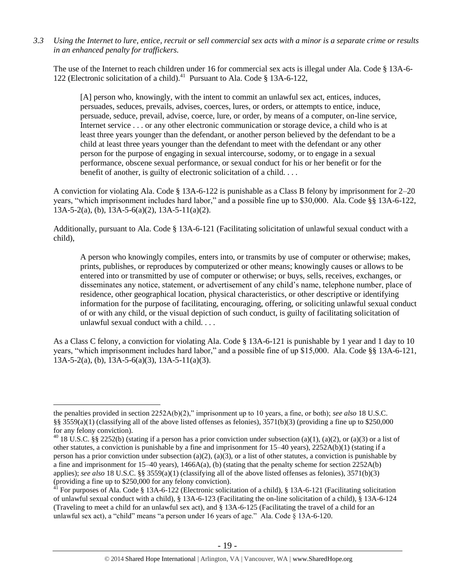*3.3 Using the Internet to lure, entice, recruit or sell commercial sex acts with a minor is a separate crime or results in an enhanced penalty for traffickers.*

The use of the Internet to reach children under 16 for commercial sex acts is illegal under Ala. Code § 13A-6- 122 (Electronic solicitation of a child).<sup>41</sup> Pursuant to Ala. Code § 13A-6-122,

[A] person who, knowingly, with the intent to commit an unlawful sex act, entices, induces, persuades, seduces, prevails, advises, coerces, lures, or orders, or attempts to entice, induce, persuade, seduce, prevail, advise, coerce, lure, or order, by means of a computer, on-line service, Internet service . . . or any other electronic communication or storage device, a child who is at least three years younger than the defendant, or another person believed by the defendant to be a child at least three years younger than the defendant to meet with the defendant or any other person for the purpose of engaging in sexual intercourse, sodomy, or to engage in a sexual performance, obscene sexual performance, or sexual conduct for his or her benefit or for the benefit of another, is guilty of electronic solicitation of a child. . . .

A conviction for violating Ala. Code § 13A-6-122 is punishable as a Class B felony by imprisonment for 2–20 years, "which imprisonment includes hard labor," and a possible fine up to \$30,000. Ala. Code §§ 13A-6-122,  $13A-5-2(a)$ , (b),  $13A-5-6(a)(2)$ ,  $13A-5-11(a)(2)$ .

Additionally, pursuant to Ala. Code § 13A-6-121 (Facilitating solicitation of unlawful sexual conduct with a child),

A person who knowingly compiles, enters into, or transmits by use of computer or otherwise; makes, prints, publishes, or reproduces by computerized or other means; knowingly causes or allows to be entered into or transmitted by use of computer or otherwise; or buys, sells, receives, exchanges, or disseminates any notice, statement, or advertisement of any child's name, telephone number, place of residence, other geographical location, physical characteristics, or other descriptive or identifying information for the purpose of facilitating, encouraging, offering, or soliciting unlawful sexual conduct of or with any child, or the visual depiction of such conduct, is guilty of facilitating solicitation of unlawful sexual conduct with a child. . . .

As a Class C felony, a conviction for violating Ala. Code § 13A-6-121 is punishable by 1 year and 1 day to 10 years, "which imprisonment includes hard labor," and a possible fine of up \$15,000. Ala. Code §§ 13A-6-121,  $13A-5-2(a)$ , (b),  $13A-5-6(a)(3)$ ,  $13A-5-11(a)(3)$ .

the penalties provided in section 2252A(b)(2)," imprisonment up to 10 years, a fine, or both); *see also* 18 U.S.C. §§ 3559(a)(1) (classifying all of the above listed offenses as felonies),  $3571(b)(3)$  (providing a fine up to \$250,000 for any felony conviction).

<sup>&</sup>lt;sup>40</sup> 18 U.S.C. §§ 2252(b) (stating if a person has a prior conviction under subsection (a)(1), (a)(2), or (a)(3) or a list of other statutes, a conviction is punishable by a fine and imprisonment for 15–40 years), 2252A(b)(1) (stating if a person has a prior conviction under subsection (a)(2), (a)(3), or a list of other statutes, a conviction is punishable by a fine and imprisonment for  $15-40$  years),  $1466A(a)$ , (b) (stating that the penalty scheme for section  $2252A(b)$ applies); *see also* 18 U.S.C. §§ 3559(a)(1) (classifying all of the above listed offenses as felonies), 3571(b)(3) (providing a fine up to \$250,000 for any felony conviction).

<sup>&</sup>lt;sup>41</sup> For purposes of Ala. Code § 13A-6-122 (Electronic solicitation of a child), § 13A-6-121 (Facilitating solicitation of unlawful sexual conduct with a child), § 13A-6-123 (Facilitating the on-line solicitation of a child), § 13A-6-124 (Traveling to meet a child for an unlawful sex act), and § 13A-6-125 (Facilitating the travel of a child for an unlawful sex act), a "child" means "a person under 16 years of age." Ala. Code § 13A-6-120.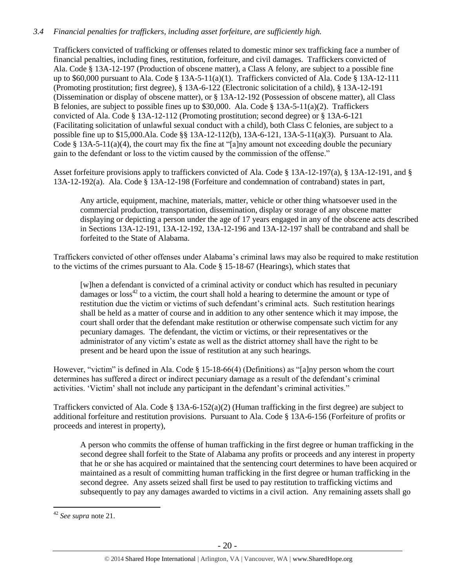## *3.4 Financial penalties for traffickers, including asset forfeiture, are sufficiently high.*

Traffickers convicted of trafficking or offenses related to domestic minor sex trafficking face a number of financial penalties, including fines, restitution, forfeiture, and civil damages. Traffickers convicted of Ala. Code § 13A-12-197 (Production of obscene matter), a Class A felony, are subject to a possible fine up to \$60,000 pursuant to Ala. Code § 13A-5-11(a)(1). Traffickers convicted of Ala. Code § 13A-12-111 (Promoting prostitution; first degree), § 13A-6-122 (Electronic solicitation of a child), § 13A-12-191 (Dissemination or display of obscene matter), or § 13A-12-192 (Possession of obscene matter), all Class B felonies, are subject to possible fines up to \$30,000. Ala. Code § 13A-5-11(a)(2). Traffickers convicted of Ala. Code § 13A-12-112 (Promoting prostitution; second degree) or § 13A-6-121 (Facilitating solicitation of unlawful sexual conduct with a child), both Class C felonies, are subject to a possible fine up to \$15,000.Ala. Code §§ 13A-12-112(b), 13A-6-121, 13A-5-11(a)(3). Pursuant to Ala. Code § 13A-5-11(a)(4), the court may fix the fine at "[a]ny amount not exceeding double the pecuniary gain to the defendant or loss to the victim caused by the commission of the offense."

Asset forfeiture provisions apply to traffickers convicted of Ala. Code § 13A-12-197(a), § 13A-12-191, and § 13A-12-192(a). Ala. Code § 13A-12-198 (Forfeiture and condemnation of contraband) states in part,

Any article, equipment, machine, materials, matter, vehicle or other thing whatsoever used in the commercial production, transportation, dissemination, display or storage of any obscene matter displaying or depicting a person under the age of 17 years engaged in any of the obscene acts described in Sections 13A-12-191, 13A-12-192, 13A-12-196 and 13A-12-197 shall be contraband and shall be forfeited to the State of Alabama.

Traffickers convicted of other offenses under Alabama's criminal laws may also be required to make restitution to the victims of the crimes pursuant to Ala. Code § 15-18-67 (Hearings), which states that

[w]hen a defendant is convicted of a criminal activity or conduct which has resulted in pecuniary damages or  $loss^{42}$  to a victim, the court shall hold a hearing to determine the amount or type of restitution due the victim or victims of such defendant's criminal acts. Such restitution hearings shall be held as a matter of course and in addition to any other sentence which it may impose, the court shall order that the defendant make restitution or otherwise compensate such victim for any pecuniary damages. The defendant, the victim or victims, or their representatives or the administrator of any victim's estate as well as the district attorney shall have the right to be present and be heard upon the issue of restitution at any such hearings.

However, "victim" is defined in Ala. Code § 15-18-66(4) (Definitions) as "[a]ny person whom the court determines has suffered a direct or indirect pecuniary damage as a result of the defendant's criminal activities. 'Victim' shall not include any participant in the defendant's criminal activities."

Traffickers convicted of Ala. Code  $\S 13A-6-152(a)(2)$  (Human trafficking in the first degree) are subject to additional forfeiture and restitution provisions. Pursuant to Ala. Code § 13A-6-156 (Forfeiture of profits or proceeds and interest in property),

A person who commits the offense of human trafficking in the first degree or human trafficking in the second degree shall forfeit to the State of Alabama any profits or proceeds and any interest in property that he or she has acquired or maintained that the sentencing court determines to have been acquired or maintained as a result of committing human trafficking in the first degree or human trafficking in the second degree. Any assets seized shall first be used to pay restitution to trafficking victims and subsequently to pay any damages awarded to victims in a civil action. Any remaining assets shall go

<sup>42</sup> *See supra* note [21.](#page-12-0)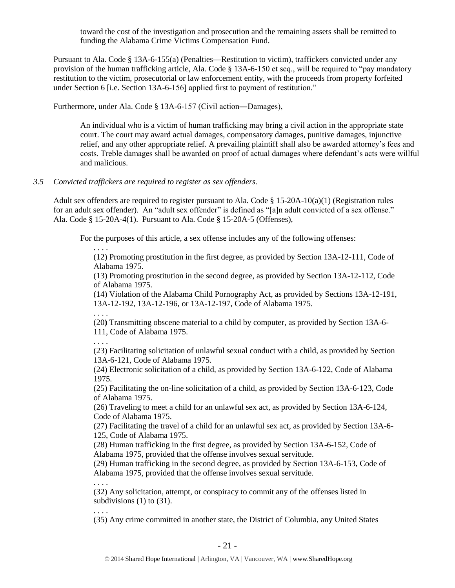toward the cost of the investigation and prosecution and the remaining assets shall be remitted to funding the Alabama Crime Victims Compensation Fund.

Pursuant to Ala. Code § 13A-6-155(a) (Penalties—Restitution to victim), traffickers convicted under any provision of the human trafficking article, Ala. Code § 13A-6-150 et seq., will be required to "pay mandatory restitution to the victim, prosecutorial or law enforcement entity, with the proceeds from property forfeited under Section 6 [i.e. Section 13A-6-156] applied first to payment of restitution."

Furthermore, under Ala. Code § 13A-6-157 (Civil action―Damages),

An individual who is a victim of human trafficking may bring a civil action in the appropriate state court. The court may award actual damages, compensatory damages, punitive damages, injunctive relief, and any other appropriate relief. A prevailing plaintiff shall also be awarded attorney's fees and costs. Treble damages shall be awarded on proof of actual damages where defendant's acts were willful and malicious.

## *3.5 Convicted traffickers are required to register as sex offenders.*

Adult sex offenders are required to register pursuant to Ala. Code § 15-20A-10(a)(1) (Registration rules for an adult sex offender). An "adult sex offender" is defined as "[a]n adult convicted of a sex offense." Ala. Code § 15-20A-4(1). Pursuant to Ala. Code § 15-20A-5 (Offenses),

For the purposes of this article, a sex offense includes any of the following offenses:

. . . . (12) Promoting prostitution in the first degree, as provided by Section 13A-12-111, Code of Alabama 1975.

(13) Promoting prostitution in the second degree, as provided by Section 13A-12-112, Code of Alabama 1975.

(14) Violation of the Alabama Child Pornography Act, as provided by Sections 13A-12-191, 13A-12-192, 13A-12-196, or 13A-12-197, Code of Alabama 1975.

. . . .

(20**)** Transmitting obscene material to a child by computer, as provided by Section 13A-6- 111, Code of Alabama 1975.

. . . .

. . . .

(23) Facilitating solicitation of unlawful sexual conduct with a child, as provided by Section 13A-6-121, Code of Alabama 1975.

(24) Electronic solicitation of a child, as provided by Section 13A-6-122, Code of Alabama 1975.

(25) Facilitating the on-line solicitation of a child, as provided by Section 13A-6-123, Code of Alabama 1975.

(26) Traveling to meet a child for an unlawful sex act, as provided by Section 13A-6-124, Code of Alabama 1975.

(27) Facilitating the travel of a child for an unlawful sex act, as provided by Section 13A-6- 125, Code of Alabama 1975.

(28) Human trafficking in the first degree, as provided by Section 13A-6-152, Code of Alabama 1975, provided that the offense involves sexual servitude.

(29) Human trafficking in the second degree, as provided by Section 13A-6-153, Code of Alabama 1975, provided that the offense involves sexual servitude.

(32) Any solicitation, attempt, or conspiracy to commit any of the offenses listed in subdivisions (1) to (31).

. . . . (35) Any crime committed in another state, the District of Columbia, any United States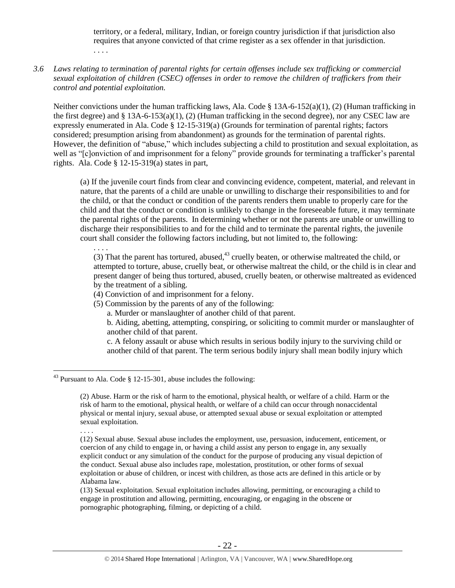territory, or a federal, military, Indian, or foreign country jurisdiction if that jurisdiction also requires that anyone convicted of that crime register as a sex offender in that jurisdiction. . . . .

#### *3.6 Laws relating to termination of parental rights for certain offenses include sex trafficking or commercial sexual exploitation of children (CSEC) offenses in order to remove the children of traffickers from their control and potential exploitation.*

Neither convictions under the human trafficking laws, Ala. Code § 13A-6-152(a)(1), (2) (Human trafficking in the first degree) and  $\S 13A-6-153(a)(1)$ , (2) (Human trafficking in the second degree), nor any CSEC law are expressly enumerated in Ala. Code § 12-15-319(a) (Grounds for termination of parental rights; factors considered; presumption arising from abandonment) as grounds for the termination of parental rights. However, the definition of "abuse," which includes subjecting a child to prostitution and sexual exploitation, as well as "[c]onviction of and imprisonment for a felony" provide grounds for terminating a trafficker's parental rights. Ala. Code § 12-15-319(a) states in part,

(a) If the juvenile court finds from clear and convincing evidence, competent, material, and relevant in nature, that the parents of a child are unable or unwilling to discharge their responsibilities to and for the child, or that the conduct or condition of the parents renders them unable to properly care for the child and that the conduct or condition is unlikely to change in the foreseeable future, it may terminate the parental rights of the parents. In determining whether or not the parents are unable or unwilling to discharge their responsibilities to and for the child and to terminate the parental rights, the juvenile court shall consider the following factors including, but not limited to, the following:

. . . .

(3) That the parent has tortured, abused, $43$  cruelly beaten, or otherwise maltreated the child, or attempted to torture, abuse, cruelly beat, or otherwise maltreat the child, or the child is in clear and present danger of being thus tortured, abused, cruelly beaten, or otherwise maltreated as evidenced by the treatment of a sibling.

- (4) Conviction of and imprisonment for a felony.
- (5) Commission by the parents of any of the following:
	- a. Murder or manslaughter of another child of that parent.

b. Aiding, abetting, attempting, conspiring, or soliciting to commit murder or manslaughter of another child of that parent.

c. A felony assault or abuse which results in serious bodily injury to the surviving child or another child of that parent. The term serious bodily injury shall mean bodily injury which

. . . .

<sup>&</sup>lt;sup>43</sup> Pursuant to Ala. Code § 12-15-301, abuse includes the following:

<sup>(2)</sup> Abuse. Harm or the risk of harm to the emotional, physical health, or welfare of a child. Harm or the risk of harm to the emotional, physical health, or welfare of a child can occur through nonaccidental physical or mental injury, sexual abuse, or attempted sexual abuse or sexual exploitation or attempted sexual exploitation.

<sup>(12)</sup> Sexual abuse. Sexual abuse includes the employment, use, persuasion, inducement, enticement, or coercion of any child to engage in, or having a child assist any person to engage in, any sexually explicit conduct or any simulation of the conduct for the purpose of producing any visual depiction of the conduct. Sexual abuse also includes rape, molestation, prostitution, or other forms of sexual exploitation or abuse of children, or incest with children, as those acts are defined in this article or by Alabama law.

<sup>(13)</sup> Sexual exploitation. Sexual exploitation includes allowing, permitting, or encouraging a child to engage in prostitution and allowing, permitting, encouraging, or engaging in the obscene or pornographic photographing, filming, or depicting of a child.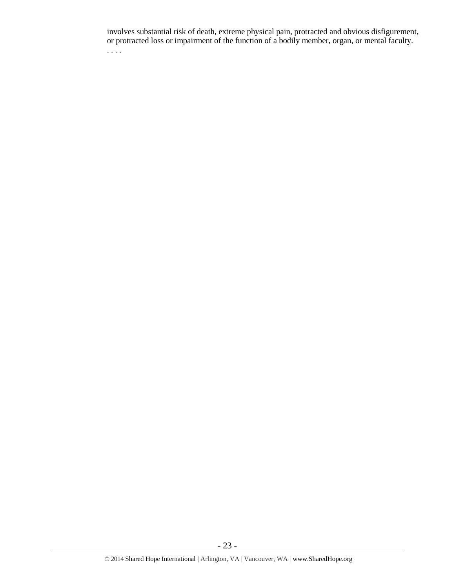involves substantial risk of death, extreme physical pain, protracted and obvious disfigurement, or protracted loss or impairment of the function of a bodily member, organ, or mental faculty. . . . .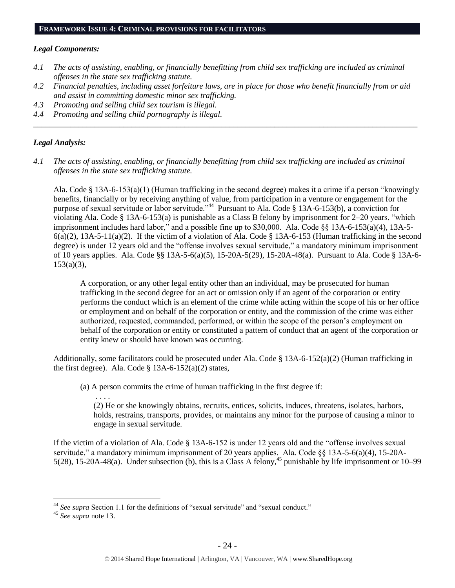#### **FRAMEWORK ISSUE 4: CRIMINAL PROVISIONS FOR FACILITATORS**

#### *Legal Components:*

- *4.1 The acts of assisting, enabling, or financially benefitting from child sex trafficking are included as criminal offenses in the state sex trafficking statute.*
- *4.2 Financial penalties, including asset forfeiture laws, are in place for those who benefit financially from or aid and assist in committing domestic minor sex trafficking.*

*\_\_\_\_\_\_\_\_\_\_\_\_\_\_\_\_\_\_\_\_\_\_\_\_\_\_\_\_\_\_\_\_\_\_\_\_\_\_\_\_\_\_\_\_\_\_\_\_\_\_\_\_\_\_\_\_\_\_\_\_\_\_\_\_\_\_\_\_\_\_\_\_\_\_\_\_\_\_\_\_\_\_\_\_\_\_\_\_\_\_\_\_\_\_*

- *4.3 Promoting and selling child sex tourism is illegal.*
- *4.4 Promoting and selling child pornography is illegal.*

#### *Legal Analysis:*

*4.1 The acts of assisting, enabling, or financially benefitting from child sex trafficking are included as criminal offenses in the state sex trafficking statute.*

Ala. Code § 13A-6-153(a)(1) (Human trafficking in the second degree) makes it a crime if a person "knowingly benefits, financially or by receiving anything of value, from participation in a venture or engagement for the purpose of sexual servitude or labor servitude."<sup>44</sup> Pursuant to Ala. Code § 13A-6-153(b), a conviction for violating Ala. Code § 13A-6-153(a) is punishable as a Class B felony by imprisonment for 2–20 years, "which imprisonment includes hard labor," and a possible fine up to \$30,000. Ala. Code §§ 13A-6-153(a)(4), 13A-5-  $6(a)(2)$ , 13A-5-11(a)(2). If the victim of a violation of Ala. Code § 13A-6-153 (Human trafficking in the second degree) is under 12 years old and the "offense involves sexual servitude," a mandatory minimum imprisonment of 10 years applies. Ala. Code §§ 13A-5-6(a)(5), 15-20A-5(29), 15-20A-48(a). Pursuant to Ala. Code § 13A-6-  $153(a)(3)$ ,

A corporation, or any other legal entity other than an individual, may be prosecuted for human trafficking in the second degree for an act or omission only if an agent of the corporation or entity performs the conduct which is an element of the crime while acting within the scope of his or her office or employment and on behalf of the corporation or entity, and the commission of the crime was either authorized, requested, commanded, performed, or within the scope of the person's employment on behalf of the corporation or entity or constituted a pattern of conduct that an agent of the corporation or entity knew or should have known was occurring.

Additionally, some facilitators could be prosecuted under Ala. Code  $\S$  13A-6-152(a)(2) (Human trafficking in the first degree). Ala. Code  $\S$  13A-6-152(a)(2) states,

(a) A person commits the crime of human trafficking in the first degree if:

(2) He or she knowingly obtains, recruits, entices, solicits, induces, threatens, isolates, harbors, holds, restrains, transports, provides, or maintains any minor for the purpose of causing a minor to engage in sexual servitude.

If the victim of a violation of Ala. Code § 13A-6-152 is under 12 years old and the "offense involves sexual servitude," a mandatory minimum imprisonment of 20 years applies. Ala. Code §§ 13A-5-6(a)(4), 15-20A-5(28), 15-20A-48(a). Under subsection (b), this is a Class A felony,<sup>45</sup> punishable by life imprisonment or 10–99

. . . .

 $\overline{a}$ <sup>44</sup> *See supra* Section 1.1 for the definitions of "sexual servitude" and "sexual conduct."

<sup>45</sup> *See supra* note [13.](#page-8-0)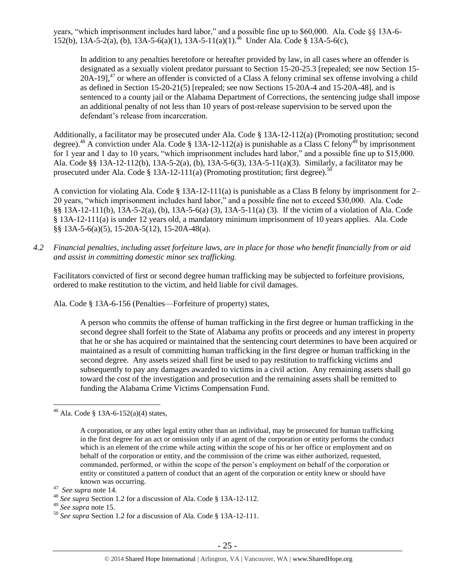years, "which imprisonment includes hard labor," and a possible fine up to \$60,000. Ala. Code §§ 13A-6- 152(b), 13A-5-2(a), (b), 13A-5-6(a)(1), 13A-5-11(a)(1).<sup>46</sup> Under Ala. Code § 13A-5-6(c),

In addition to any penalties heretofore or hereafter provided by law, in all cases where an offender is designated as a sexually violent predator pursuant to Section 15-20-25.3 [repealed; see now Section 15-  $20A-19$ ,<sup>47</sup> or where an offender is convicted of a Class A felony criminal sex offense involving a child as defined in Section 15-20-21(5) [repealed; see now Sections 15-20A-4 and 15-20A-48], and is sentenced to a county jail or the Alabama Department of Corrections, the sentencing judge shall impose an additional penalty of not less than 10 years of post-release supervision to be served upon the defendant's release from incarceration.

Additionally, a facilitator may be prosecuted under Ala. Code § 13A-12-112(a) (Promoting prostitution; second degree).<sup>48</sup> A conviction under Ala. Code § 13A-12-112(a) is punishable as a Class C felony<sup>49</sup> by imprisonment for 1 year and 1 day to 10 years, "which imprisonment includes hard labor," and a possible fine up to \$15,000. Ala. Code §§ 13A-12-112(b), 13A-5-2(a), (b), 13A-5-6(3), 13A-5-11(a)(3). Similarly, a facilitator may be prosecuted under Ala. Code § 13A-12-111(a) (Promoting prostitution; first degree).<sup>50</sup>

A conviction for violating Ala. Code § 13A-12-111(a) is punishable as a Class B felony by imprisonment for 2– 20 years, "which imprisonment includes hard labor," and a possible fine not to exceed \$30,000. Ala. Code §§ 13A-12-111(b), 13A-5-2(a), (b), 13A-5-6(a) (3), 13A-5-11(a) (3). If the victim of a violation of Ala. Code § 13A-12-111(a) is under 12 years old, a mandatory minimum imprisonment of 10 years applies. Ala. Code §§ 13A-5-6(a)(5), 15-20A-5(12), 15-20A-48(a).

*4.2 Financial penalties, including asset forfeiture laws, are in place for those who benefit financially from or aid and assist in committing domestic minor sex trafficking.*

Facilitators convicted of first or second degree human trafficking may be subjected to forfeiture provisions, ordered to make restitution to the victim, and held liable for civil damages.

Ala. Code § 13A-6-156 (Penalties—Forfeiture of property) states,

A person who commits the offense of human trafficking in the first degree or human trafficking in the second degree shall forfeit to the State of Alabama any profits or proceeds and any interest in property that he or she has acquired or maintained that the sentencing court determines to have been acquired or maintained as a result of committing human trafficking in the first degree or human trafficking in the second degree. Any assets seized shall first be used to pay restitution to trafficking victims and subsequently to pay any damages awarded to victims in a civil action. Any remaining assets shall go toward the cost of the investigation and prosecution and the remaining assets shall be remitted to funding the Alabama Crime Victims Compensation Fund.

<sup>&</sup>lt;sup>46</sup> Ala. Code § 13A-6-152(a)(4) states,

A corporation, or any other legal entity other than an individual, may be prosecuted for human trafficking in the first degree for an act or omission only if an agent of the corporation or entity performs the conduct which is an element of the crime while acting within the scope of his or her office or employment and on behalf of the corporation or entity, and the commission of the crime was either authorized, requested, commanded, performed, or within the scope of the person's employment on behalf of the corporation or entity or constituted a pattern of conduct that an agent of the corporation or entity knew or should have known was occurring.

<sup>47</sup> *See supra* note [14.](#page-9-0)

<sup>48</sup> *See supra* Section 1.2 for a discussion of Ala. Code § 13A-12-112.

<sup>49</sup> *See supra* note [15.](#page-9-1)

<sup>50</sup> *See supra* Section 1.2 for a discussion of Ala. Code § 13A-12-111.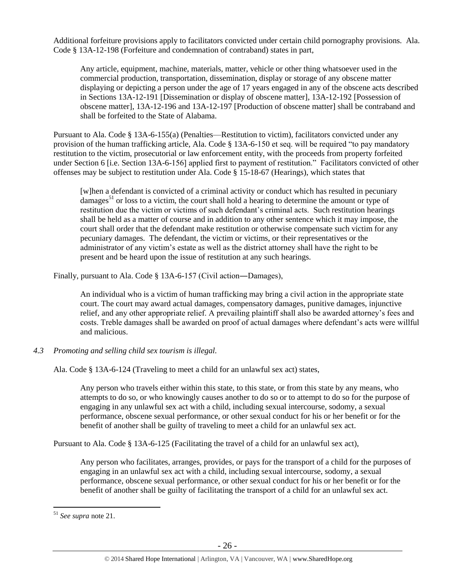Additional forfeiture provisions apply to facilitators convicted under certain child pornography provisions. Ala. Code § 13A-12-198 (Forfeiture and condemnation of contraband) states in part,

Any article, equipment, machine, materials, matter, vehicle or other thing whatsoever used in the commercial production, transportation, dissemination, display or storage of any obscene matter displaying or depicting a person under the age of 17 years engaged in any of the obscene acts described in Sections 13A-12-191 [Dissemination or display of obscene matter], 13A-12-192 [Possession of obscene matter], 13A-12-196 and 13A-12-197 [Production of obscene matter] shall be contraband and shall be forfeited to the State of Alabama.

Pursuant to Ala. Code § 13A-6-155(a) (Penalties—Restitution to victim), facilitators convicted under any provision of the human trafficking article, Ala. Code § 13A-6-150 et seq. will be required "to pay mandatory restitution to the victim, prosecutorial or law enforcement entity, with the proceeds from property forfeited under Section 6 [i.e. Section 13A-6-156] applied first to payment of restitution." Facilitators convicted of other offenses may be subject to restitution under Ala. Code § 15-18-67 (Hearings), which states that

[w]hen a defendant is convicted of a criminal activity or conduct which has resulted in pecuniary damages<sup>51</sup> or loss to a victim, the court shall hold a hearing to determine the amount or type of restitution due the victim or victims of such defendant's criminal acts. Such restitution hearings shall be held as a matter of course and in addition to any other sentence which it may impose, the court shall order that the defendant make restitution or otherwise compensate such victim for any pecuniary damages. The defendant, the victim or victims, or their representatives or the administrator of any victim's estate as well as the district attorney shall have the right to be present and be heard upon the issue of restitution at any such hearings.

Finally, pursuant to Ala. Code § 13A-6-157 (Civil action―Damages),

An individual who is a victim of human trafficking may bring a civil action in the appropriate state court. The court may award actual damages, compensatory damages, punitive damages, injunctive relief, and any other appropriate relief. A prevailing plaintiff shall also be awarded attorney's fees and costs. Treble damages shall be awarded on proof of actual damages where defendant's acts were willful and malicious.

*4.3 Promoting and selling child sex tourism is illegal.*

Ala. Code § 13A-6-124 (Traveling to meet a child for an unlawful sex act) states,

Any person who travels either within this state, to this state, or from this state by any means, who attempts to do so, or who knowingly causes another to do so or to attempt to do so for the purpose of engaging in any unlawful sex act with a child, including sexual intercourse, sodomy, a sexual performance, obscene sexual performance, or other sexual conduct for his or her benefit or for the benefit of another shall be guilty of traveling to meet a child for an unlawful sex act.

Pursuant to Ala. Code § 13A-6-125 (Facilitating the travel of a child for an unlawful sex act),

Any person who facilitates, arranges, provides, or pays for the transport of a child for the purposes of engaging in an unlawful sex act with a child, including sexual intercourse, sodomy, a sexual performance, obscene sexual performance, or other sexual conduct for his or her benefit or for the benefit of another shall be guilty of facilitating the transport of a child for an unlawful sex act.

<sup>51</sup> *See supra* note [21.](#page-12-0)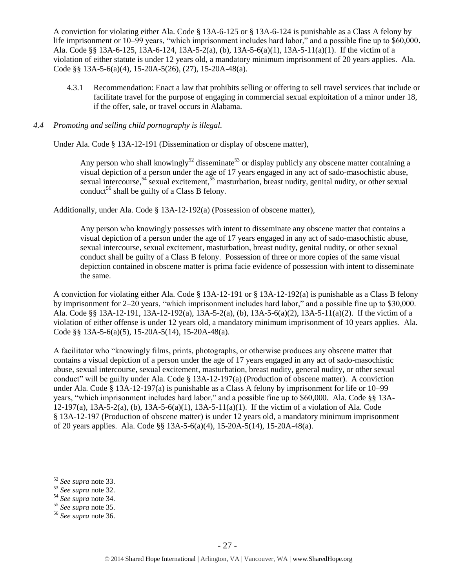A conviction for violating either Ala. Code § 13A-6-125 or § 13A-6-124 is punishable as a Class A felony by life imprisonment or 10–99 years, "which imprisonment includes hard labor," and a possible fine up to \$60,000. Ala. Code §§ 13A-6-125, 13A-6-124, 13A-5-2(a), (b), 13A-5-6(a)(1), 13A-5-11(a)(1). If the victim of a violation of either statute is under 12 years old, a mandatory minimum imprisonment of 20 years applies. Ala. Code §§ 13A-5-6(a)(4), 15-20A-5(26), (27), 15-20A-48(a).

4.3.1 Recommendation: Enact a law that prohibits selling or offering to sell travel services that include or facilitate travel for the purpose of engaging in commercial sexual exploitation of a minor under 18, if the offer, sale, or travel occurs in Alabama.

#### *4.4 Promoting and selling child pornography is illegal.*

Under Ala. Code § 13A-12-191 (Dissemination or display of obscene matter),

Any person who shall knowingly<sup>52</sup> disseminate<sup>53</sup> or display publicly any obscene matter containing a visual depiction of a person under the age of 17 years engaged in any act of sado-masochistic abuse, sexual intercourse,<sup>54</sup> sexual excitement,  $55$  masturbation, breast nudity, genital nudity, or other sexual conduct<sup>56</sup> shall be guilty of a Class B felony.

Additionally, under Ala. Code § 13A-12-192(a) (Possession of obscene matter),

Any person who knowingly possesses with intent to disseminate any obscene matter that contains a visual depiction of a person under the age of 17 years engaged in any act of sado-masochistic abuse, sexual intercourse, sexual excitement, masturbation, breast nudity, genital nudity, or other sexual conduct shall be guilty of a Class B felony. Possession of three or more copies of the same visual depiction contained in obscene matter is prima facie evidence of possession with intent to disseminate the same.

A conviction for violating either Ala. Code § 13A-12-191 or § 13A-12-192(a) is punishable as a Class B felony by imprisonment for 2–20 years, "which imprisonment includes hard labor," and a possible fine up to \$30,000. Ala. Code §§ 13A-12-191, 13A-12-192(a), 13A-5-2(a), (b), 13A-5-6(a)(2), 13A-5-11(a)(2). If the victim of a violation of either offense is under 12 years old, a mandatory minimum imprisonment of 10 years applies. Ala. Code §§ 13A-5-6(a)(5), 15-20A-5(14), 15-20A-48(a).

A facilitator who "knowingly films, prints, photographs, or otherwise produces any obscene matter that contains a visual depiction of a person under the age of 17 years engaged in any act of sado-masochistic abuse, sexual intercourse, sexual excitement, masturbation, breast nudity, general nudity, or other sexual conduct" will be guilty under Ala. Code § 13A-12-197(a) (Production of obscene matter). A conviction under Ala. Code § 13A-12-197(a) is punishable as a Class A felony by imprisonment for life or 10–99 years, "which imprisonment includes hard labor," and a possible fine up to \$60,000. Ala. Code §§ 13A-12-197(a), 13A-5-2(a), (b), 13A-5-6(a)(1), 13A-5-11(a)(1). If the victim of a violation of Ala. Code § 13A-12-197 (Production of obscene matter) is under 12 years old, a mandatory minimum imprisonment of 20 years applies. Ala. Code §§ 13A-5-6(a)(4), 15-20A-5(14), 15-20A-48(a).

<sup>52</sup> *See supra* note [33.](#page-16-0) 

<sup>53</sup> *See supra* note [32.](#page-16-1) 

<sup>54</sup> *See supra* note [34.](#page-16-2) 

<sup>55</sup> *See supra* note [35.](#page-16-3)

<sup>56</sup> *See supra* note [36.](#page-16-4)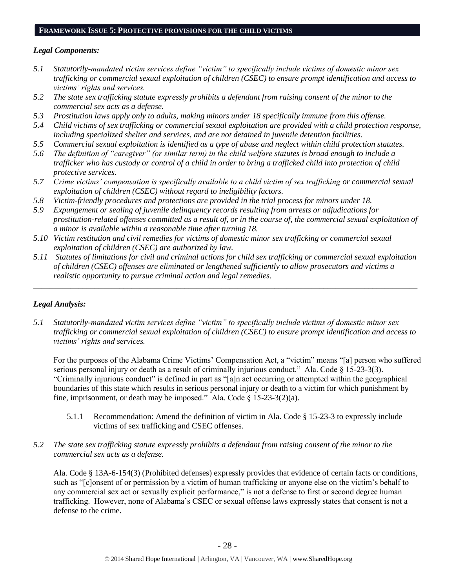#### **FRAMEWORK ISSUE 5: PROTECTIVE PROVISIONS FOR THE CHILD VICTIMS**

## *Legal Components:*

- *5.1 Statutorily-mandated victim services define "victim" to specifically include victims of domestic minor sex trafficking or commercial sexual exploitation of children (CSEC) to ensure prompt identification and access to victims' rights and services.*
- *5.2 The state sex trafficking statute expressly prohibits a defendant from raising consent of the minor to the commercial sex acts as a defense.*
- *5.3 Prostitution laws apply only to adults, making minors under 18 specifically immune from this offense.*
- *5.4 Child victims of sex trafficking or commercial sexual exploitation are provided with a child protection response, including specialized shelter and services, and are not detained in juvenile detention facilities.*
- *5.5 Commercial sexual exploitation is identified as a type of abuse and neglect within child protection statutes.*
- *5.6 The definition of "caregiver" (or similar term) in the child welfare statutes is broad enough to include a*  trafficker who has custody or control of a child in order to bring a trafficked child into protection of child *protective services.*
- *5.7 Crime victims' compensation is specifically available to a child victim of sex trafficking or commercial sexual exploitation of children (CSEC) without regard to ineligibility factors.*
- *5.8 Victim-friendly procedures and protections are provided in the trial process for minors under 18.*
- *5.9 Expungement or sealing of juvenile delinquency records resulting from arrests or adjudications for prostitution-related offenses committed as a result of, or in the course of, the commercial sexual exploitation of a minor is available within a reasonable time after turning 18.*
- *5.10 Victim restitution and civil remedies for victims of domestic minor sex trafficking or commercial sexual exploitation of children (CSEC) are authorized by law.*
- *5.11 Statutes of limitations for civil and criminal actions for child sex trafficking or commercial sexual exploitation of children (CSEC) offenses are eliminated or lengthened sufficiently to allow prosecutors and victims a realistic opportunity to pursue criminal action and legal remedies.*

*\_\_\_\_\_\_\_\_\_\_\_\_\_\_\_\_\_\_\_\_\_\_\_\_\_\_\_\_\_\_\_\_\_\_\_\_\_\_\_\_\_\_\_\_\_\_\_\_\_\_\_\_\_\_\_\_\_\_\_\_\_\_\_\_\_\_\_\_\_\_\_\_\_\_\_\_\_\_\_\_\_\_\_\_\_\_\_\_\_\_\_\_\_\_*

## *Legal Analysis:*

*5.1 Statutorily-mandated victim services define "victim" to specifically include victims of domestic minor sex trafficking or commercial sexual exploitation of children (CSEC) to ensure prompt identification and access to victims' rights and services.*

For the purposes of the Alabama Crime Victims' Compensation Act, a "victim" means "[a] person who suffered serious personal injury or death as a result of criminally injurious conduct." Ala. Code § 15-23-3(3). "Criminally injurious conduct" is defined in part as "[a]n act occurring or attempted within the geographical boundaries of this state which results in serious personal injury or death to a victim for which punishment by fine, imprisonment, or death may be imposed." Ala. Code  $\S$  15-23-3(2)(a).

- 5.1.1 Recommendation: Amend the definition of victim in Ala. Code § 15-23-3 to expressly include victims of sex trafficking and CSEC offenses.
- *5.2 The state sex trafficking statute expressly prohibits a defendant from raising consent of the minor to the commercial sex acts as a defense.*

Ala. Code § 13A-6-154(3) (Prohibited defenses) expressly provides that evidence of certain facts or conditions, such as "[c]onsent of or permission by a victim of human trafficking or anyone else on the victim's behalf to any commercial sex act or sexually explicit performance," is not a defense to first or second degree human trafficking. However, none of Alabama's CSEC or sexual offense laws expressly states that consent is not a defense to the crime.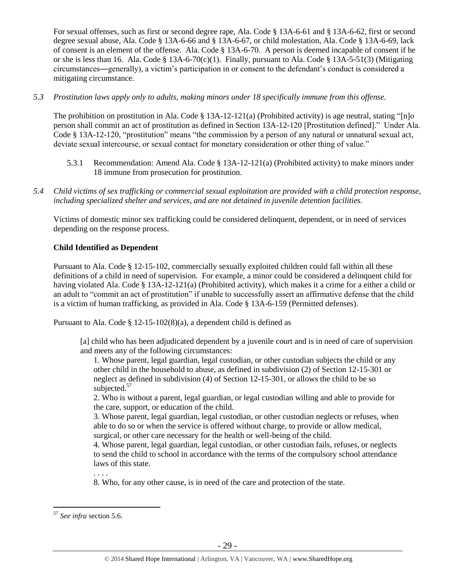For sexual offenses, such as first or second degree rape, Ala. Code § 13A-6-61 and § 13A-6-62, first or second degree sexual abuse, Ala. Code § 13A-6-66 and § 13A-6-67, or child molestation, Ala. Code § 13A-6-69, lack of consent is an element of the offense. Ala. Code § 13A-6-70. A person is deemed incapable of consent if he or she is less than 16. Ala. Code § 13A-6-70(c)(1). Finally, pursuant to Ala. Code § 13A-5-51(3) (Mitigating circumstances―generally), a victim's participation in or consent to the defendant's conduct is considered a mitigating circumstance.

## *5.3 Prostitution laws apply only to adults, making minors under 18 specifically immune from this offense.*

The prohibition on prostitution in Ala. Code  $\S$  13A-12-121(a) (Prohibited activity) is age neutral, stating "[n]o person shall commit an act of prostitution as defined in Section 13A-12-120 [Prostitution defined]." Under Ala. Code § 13A-12-120, "prostitution" means "the commission by a person of any natural or unnatural sexual act, deviate sexual intercourse, or sexual contact for monetary consideration or other thing of value."

- 5.3.1 Recommendation: Amend Ala. Code § 13A-12-121(a) (Prohibited activity) to make minors under 18 immune from prosecution for prostitution.
- *5.4 Child victims of sex trafficking or commercial sexual exploitation are provided with a child protection response, including specialized shelter and services, and are not detained in juvenile detention facilities.*

Victims of domestic minor sex trafficking could be considered delinquent, dependent, or in need of services depending on the response process.

#### **Child Identified as Dependent**

Pursuant to Ala. Code § 12-15-102, commercially sexually exploited children could fall within all these definitions of a child in need of supervision. For example, a minor could be considered a delinquent child for having violated Ala. Code § 13A-12-121(a) (Prohibited activity), which makes it a crime for a either a child or an adult to "commit an act of prostitution" if unable to successfully assert an affirmative defense that the child is a victim of human trafficking, as provided in Ala. Code § 13A-6-159 (Permitted defenses).

Pursuant to Ala. Code § 12-15-102(8)(a), a dependent child is defined as

[a] child who has been adjudicated dependent by a juvenile court and is in need of care of supervision and meets any of the following circumstances:

1. Whose parent, legal guardian, legal custodian, or other custodian subjects the child or any other child in the household to abuse, as defined in subdivision (2) of Section 12-15-301 or neglect as defined in subdivision (4) of Section 12-15-301, or allows the child to be so subjected.<sup>57</sup>

2. Who is without a parent, legal guardian, or legal custodian willing and able to provide for the care, support, or education of the child.

3. Whose parent, legal guardian, legal custodian, or other custodian neglects or refuses, when able to do so or when the service is offered without charge, to provide or allow medical, surgical, or other care necessary for the health or well-being of the child.

4. Whose parent, legal guardian, legal custodian, or other custodian fails, refuses, or neglects to send the child to school in accordance with the terms of the compulsory school attendance laws of this state.

. . . .

8. Who, for any other cause, is in need of the care and protection of the state.

<sup>57</sup> *See infra* section 5.6.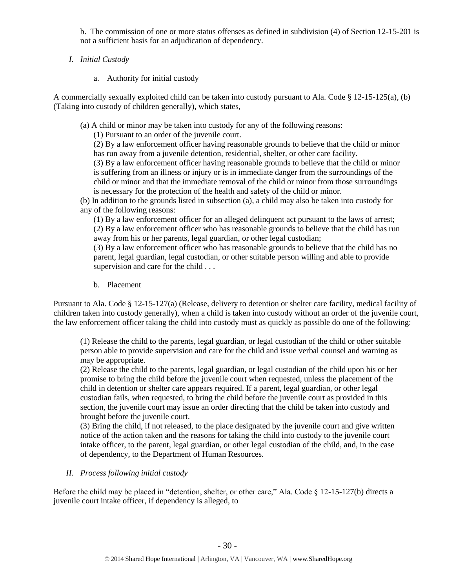b. The commission of one or more status offenses as defined in subdivision (4) of Section 12-15-201 is not a sufficient basis for an adjudication of dependency.

- *I. Initial Custody*
	- a. Authority for initial custody

A commercially sexually exploited child can be taken into custody pursuant to Ala. Code § 12-15-125(a), (b) (Taking into custody of children generally), which states,

(a) A child or minor may be taken into custody for any of the following reasons:

(1) Pursuant to an order of the juvenile court.

(2) By a law enforcement officer having reasonable grounds to believe that the child or minor has run away from a juvenile detention, residential, shelter, or other care facility.

(3) By a law enforcement officer having reasonable grounds to believe that the child or minor is suffering from an illness or injury or is in immediate danger from the surroundings of the child or minor and that the immediate removal of the child or minor from those surroundings is necessary for the protection of the health and safety of the child or minor.

(b) In addition to the grounds listed in subsection (a), a child may also be taken into custody for any of the following reasons:

(1) By a law enforcement officer for an alleged delinquent act pursuant to the laws of arrest; (2) By a law enforcement officer who has reasonable grounds to believe that the child has run away from his or her parents, legal guardian, or other legal custodian;

(3) By a law enforcement officer who has reasonable grounds to believe that the child has no parent, legal guardian, legal custodian, or other suitable person willing and able to provide supervision and care for the child . . .

b. Placement

Pursuant to Ala. Code § 12-15-127(a) (Release, delivery to detention or shelter care facility, medical facility of children taken into custody generally), when a child is taken into custody without an order of the juvenile court, the law enforcement officer taking the child into custody must as quickly as possible do one of the following:

(1) Release the child to the parents, legal guardian, or legal custodian of the child or other suitable person able to provide supervision and care for the child and issue verbal counsel and warning as may be appropriate.

(2) Release the child to the parents, legal guardian, or legal custodian of the child upon his or her promise to bring the child before the juvenile court when requested, unless the placement of the child in detention or shelter care appears required. If a parent, legal guardian, or other legal custodian fails, when requested, to bring the child before the juvenile court as provided in this section, the juvenile court may issue an order directing that the child be taken into custody and brought before the juvenile court.

(3) Bring the child, if not released, to the place designated by the juvenile court and give written notice of the action taken and the reasons for taking the child into custody to the juvenile court intake officer, to the parent, legal guardian, or other legal custodian of the child, and, in the case of dependency, to the Department of Human Resources.

# *II. Process following initial custody*

Before the child may be placed in "detention, shelter, or other care," Ala. Code  $\S$  12-15-127(b) directs a juvenile court intake officer, if dependency is alleged, to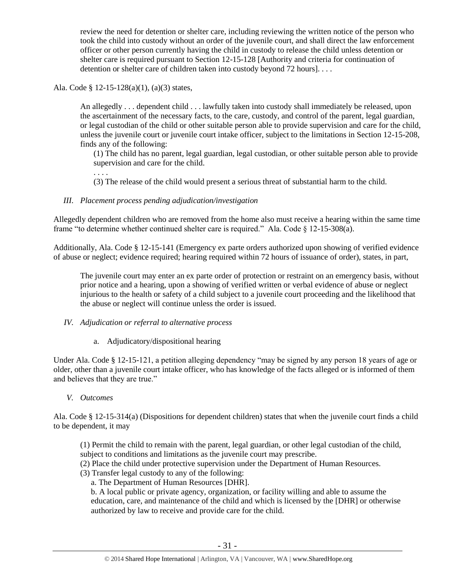review the need for detention or shelter care, including reviewing the written notice of the person who took the child into custody without an order of the juvenile court, and shall direct the law enforcement officer or other person currently having the child in custody to release the child unless detention or shelter care is required pursuant to Section 12-15-128 [Authority and criteria for continuation of detention or shelter care of children taken into custody beyond 72 hours]...

Ala. Code § 12-15-128(a)(1), (a)(3) states,

. . . .

An allegedly . . . dependent child . . . lawfully taken into custody shall immediately be released, upon the ascertainment of the necessary facts, to the care, custody, and control of the parent, legal guardian, or legal custodian of the child or other suitable person able to provide supervision and care for the child, unless the juvenile court or juvenile court intake officer, subject to the limitations in Section 12-15-208, finds any of the following:

(1) The child has no parent, legal guardian, legal custodian, or other suitable person able to provide supervision and care for the child.

(3) The release of the child would present a serious threat of substantial harm to the child.

## *III. Placement process pending adjudication/investigation*

Allegedly dependent children who are removed from the home also must receive a hearing within the same time frame "to determine whether continued shelter care is required." Ala. Code § 12-15-308(a).

Additionally, Ala. Code § 12-15-141 (Emergency ex parte orders authorized upon showing of verified evidence of abuse or neglect; evidence required; hearing required within 72 hours of issuance of order), states, in part,

The juvenile court may enter an ex parte order of protection or restraint on an emergency basis, without prior notice and a hearing, upon a showing of verified written or verbal evidence of abuse or neglect injurious to the health or safety of a child subject to a juvenile court proceeding and the likelihood that the abuse or neglect will continue unless the order is issued.

## *IV. Adjudication or referral to alternative process*

a. Adjudicatory/dispositional hearing

Under Ala. Code § 12-15-121, a petition alleging dependency "may be signed by any person 18 years of age or older, other than a juvenile court intake officer, who has knowledge of the facts alleged or is informed of them and believes that they are true."

## *V. Outcomes*

Ala. Code § 12-15-314(a) (Dispositions for dependent children) states that when the juvenile court finds a child to be dependent, it may

(1) Permit the child to remain with the parent, legal guardian, or other legal custodian of the child, subject to conditions and limitations as the juvenile court may prescribe.

- (2) Place the child under protective supervision under the Department of Human Resources.
- (3) Transfer legal custody to any of the following:
	- a. The Department of Human Resources [DHR].

b. A local public or private agency, organization, or facility willing and able to assume the education, care, and maintenance of the child and which is licensed by the [DHR] or otherwise authorized by law to receive and provide care for the child.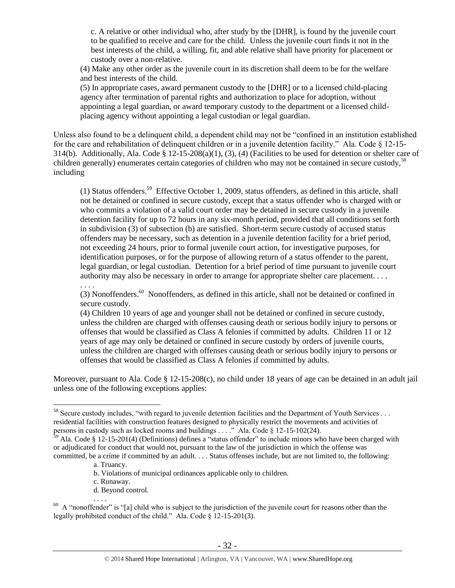c. A relative or other individual who, after study by the [DHR], is found by the juvenile court to be qualified to receive and care for the child. Unless the juvenile court finds it not in the best interests of the child, a willing, fit, and able relative shall have priority for placement or custody over a non-relative.

(4) Make any other order as the juvenile court in its discretion shall deem to be for the welfare and best interests of the child.

(5) In appropriate cases, award permanent custody to the [DHR] or to a licensed child-placing agency after termination of parental rights and authorization to place for adoption, without appointing a legal guardian, or award temporary custody to the department or a licensed childplacing agency without appointing a legal custodian or legal guardian.

Unless also found to be a delinquent child, a dependent child may not be "confined in an institution established for the care and rehabilitation of delinquent children or in a juvenile detention facility." Ala. Code § 12-15- 314(b). Additionally, Ala. Code §  $12-15-208(a)(1)$ , (3), (4) (Facilities to be used for detention or shelter care of children generally) enumerates certain categories of children who may not be contained in secure custody,<sup>58</sup> including

(1) Status offenders.<sup>59</sup> Effective October 1, 2009, status offenders, as defined in this article, shall not be detained or confined in secure custody, except that a status offender who is charged with or who commits a violation of a valid court order may be detained in secure custody in a juvenile detention facility for up to 72 hours in any six-month period, provided that all conditions set forth in subdivision (3) of subsection (b) are satisfied. Short-term secure custody of accused status offenders may be necessary, such as detention in a juvenile detention facility for a brief period, not exceeding 24 hours, prior to formal juvenile court action, for investigative purposes, for identification purposes, or for the purpose of allowing return of a status offender to the parent, legal guardian, or legal custodian. Detention for a brief period of time pursuant to juvenile court authority may also be necessary in order to arrange for appropriate shelter care placement. . . .

(3) Nonoffenders.<sup>60</sup> Nonoffenders, as defined in this article, shall not be detained or confined in secure custody.

(4) Children 10 years of age and younger shall not be detained or confined in secure custody, unless the children are charged with offenses causing death or serious bodily injury to persons or offenses that would be classified as Class A felonies if committed by adults. Children 11 or 12 years of age may only be detained or confined in secure custody by orders of juvenile courts, unless the children are charged with offenses causing death or serious bodily injury to persons or offenses that would be classified as Class A felonies if committed by adults.

Moreover, pursuant to Ala. Code § 12-15-208(c), no child under 18 years of age can be detained in an adult jail unless one of the following exceptions applies:

. . . .

. . . .

- b. Violations of municipal ordinances applicable only to children.
- c. Runaway.
- d. Beyond control.

<sup>&</sup>lt;sup>58</sup> Secure custody includes, "with regard to juvenile detention facilities and the Department of Youth Services ... residential facilities with construction features designed to physically restrict the movements and activities of persons in custody such as locked rooms and buildings . . . ." Ala. Code § 12-15-102(24).

 $\frac{59}{2}$  Ala. Code § 12-15-201(4) (Definitions) defines a "status offender" to include minors who have been charged with or adjudicated for conduct that would not, pursuant to the law of the jurisdiction in which the offense was committed, be a crime if committed by an adult. . . . Status offenses include, but are not limited to, the following:

a. Truancy.

 $60$  A "nonoffender" is "[a] child who is subject to the jurisdiction of the juvenile court for reasons other than the legally prohibited conduct of the child." Ala. Code § 12-15-201(3).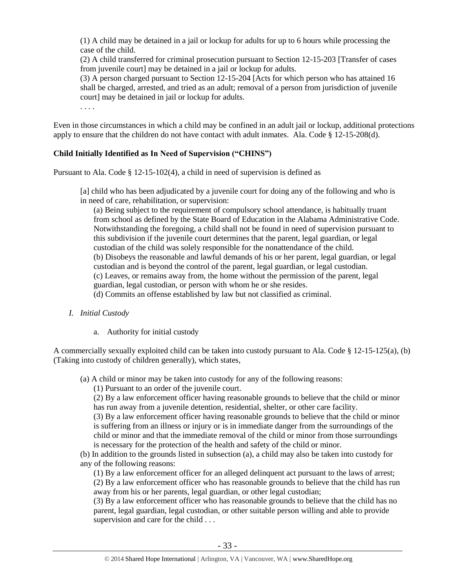(1) A child may be detained in a jail or lockup for adults for up to 6 hours while processing the case of the child.

(2) A child transferred for criminal prosecution pursuant to Section 12-15-203 [Transfer of cases from juvenile court] may be detained in a jail or lockup for adults.

(3) A person charged pursuant to Section 12-15-204 [Acts for which person who has attained 16 shall be charged, arrested, and tried as an adult; removal of a person from jurisdiction of juvenile court] may be detained in jail or lockup for adults.

. . . .

Even in those circumstances in which a child may be confined in an adult jail or lockup, additional protections apply to ensure that the children do not have contact with adult inmates. Ala. Code § 12-15-208(d).

## **Child Initially Identified as In Need of Supervision ("CHINS")**

Pursuant to Ala. Code § 12-15-102(4), a child in need of supervision is defined as

[a] child who has been adjudicated by a juvenile court for doing any of the following and who is in need of care, rehabilitation, or supervision:

(a) Being subject to the requirement of compulsory school attendance, is habitually truant from school as defined by the State Board of Education in the Alabama Administrative Code. Notwithstanding the foregoing, a child shall not be found in need of supervision pursuant to this subdivision if the juvenile court determines that the parent, legal guardian, or legal custodian of the child was solely responsible for the nonattendance of the child. (b) Disobeys the reasonable and lawful demands of his or her parent, legal guardian, or legal custodian and is beyond the control of the parent, legal guardian, or legal custodian. (c) Leaves, or remains away from, the home without the permission of the parent, legal guardian, legal custodian, or person with whom he or she resides.

(d) Commits an offense established by law but not classified as criminal.

- *I. Initial Custody*
	- a. Authority for initial custody

A commercially sexually exploited child can be taken into custody pursuant to Ala. Code  $\S$  12-15-125(a), (b) (Taking into custody of children generally), which states,

(a) A child or minor may be taken into custody for any of the following reasons:

(1) Pursuant to an order of the juvenile court.

(2) By a law enforcement officer having reasonable grounds to believe that the child or minor has run away from a juvenile detention, residential, shelter, or other care facility.

(3) By a law enforcement officer having reasonable grounds to believe that the child or minor is suffering from an illness or injury or is in immediate danger from the surroundings of the child or minor and that the immediate removal of the child or minor from those surroundings is necessary for the protection of the health and safety of the child or minor.

(b) In addition to the grounds listed in subsection (a), a child may also be taken into custody for any of the following reasons:

(1) By a law enforcement officer for an alleged delinquent act pursuant to the laws of arrest; (2) By a law enforcement officer who has reasonable grounds to believe that the child has run away from his or her parents, legal guardian, or other legal custodian;

(3) By a law enforcement officer who has reasonable grounds to believe that the child has no parent, legal guardian, legal custodian, or other suitable person willing and able to provide supervision and care for the child . . .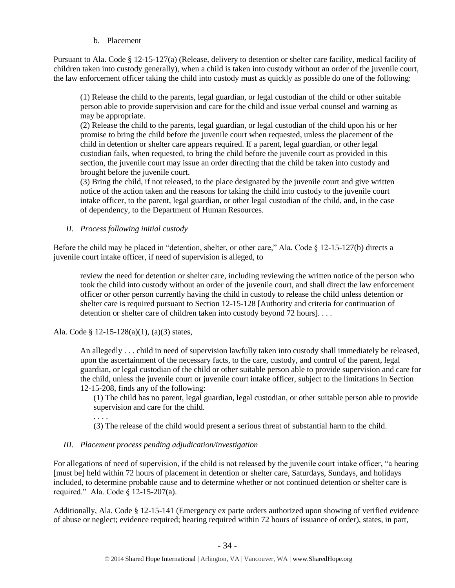#### b. Placement

Pursuant to Ala. Code § 12-15-127(a) (Release, delivery to detention or shelter care facility, medical facility of children taken into custody generally), when a child is taken into custody without an order of the juvenile court, the law enforcement officer taking the child into custody must as quickly as possible do one of the following:

(1) Release the child to the parents, legal guardian, or legal custodian of the child or other suitable person able to provide supervision and care for the child and issue verbal counsel and warning as may be appropriate.

(2) Release the child to the parents, legal guardian, or legal custodian of the child upon his or her promise to bring the child before the juvenile court when requested, unless the placement of the child in detention or shelter care appears required. If a parent, legal guardian, or other legal custodian fails, when requested, to bring the child before the juvenile court as provided in this section, the juvenile court may issue an order directing that the child be taken into custody and brought before the juvenile court.

(3) Bring the child, if not released, to the place designated by the juvenile court and give written notice of the action taken and the reasons for taking the child into custody to the juvenile court intake officer, to the parent, legal guardian, or other legal custodian of the child, and, in the case of dependency, to the Department of Human Resources.

#### *II. Process following initial custody*

Before the child may be placed in "detention, shelter, or other care," Ala. Code § 12-15-127(b) directs a juvenile court intake officer, if need of supervision is alleged, to

review the need for detention or shelter care, including reviewing the written notice of the person who took the child into custody without an order of the juvenile court, and shall direct the law enforcement officer or other person currently having the child in custody to release the child unless detention or shelter care is required pursuant to Section 12-15-128 [Authority and criteria for continuation of detention or shelter care of children taken into custody beyond 72 hours]...

Ala. Code § 12-15-128(a)(1), (a)(3) states,

An allegedly . . . child in need of supervision lawfully taken into custody shall immediately be released, upon the ascertainment of the necessary facts, to the care, custody, and control of the parent, legal guardian, or legal custodian of the child or other suitable person able to provide supervision and care for the child, unless the juvenile court or juvenile court intake officer, subject to the limitations in Section 12-15-208, finds any of the following:

(1) The child has no parent, legal guardian, legal custodian, or other suitable person able to provide supervision and care for the child.

. . . .

(3) The release of the child would present a serious threat of substantial harm to the child.

#### *III. Placement process pending adjudication/investigation*

For allegations of need of supervision, if the child is not released by the juvenile court intake officer, "a hearing [must be] held within 72 hours of placement in detention or shelter care, Saturdays, Sundays, and holidays included, to determine probable cause and to determine whether or not continued detention or shelter care is required." Ala. Code § 12-15-207(a).

Additionally, Ala. Code § 12-15-141 (Emergency ex parte orders authorized upon showing of verified evidence of abuse or neglect; evidence required; hearing required within 72 hours of issuance of order), states, in part,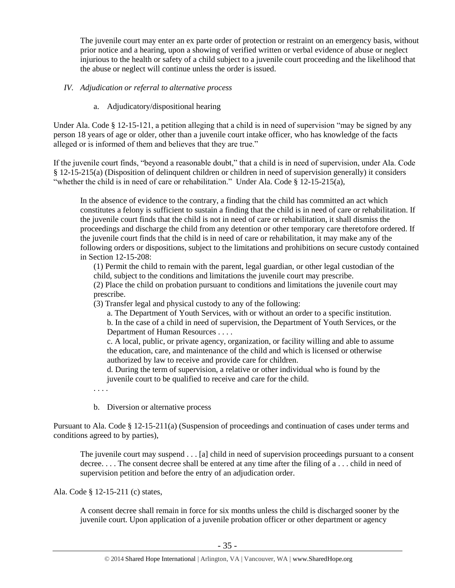The juvenile court may enter an ex parte order of protection or restraint on an emergency basis, without prior notice and a hearing, upon a showing of verified written or verbal evidence of abuse or neglect injurious to the health or safety of a child subject to a juvenile court proceeding and the likelihood that the abuse or neglect will continue unless the order is issued.

## *IV. Adjudication or referral to alternative process*

a. Adjudicatory/dispositional hearing

Under Ala. Code § 12-15-121, a petition alleging that a child is in need of supervision "may be signed by any person 18 years of age or older, other than a juvenile court intake officer, who has knowledge of the facts alleged or is informed of them and believes that they are true."

If the juvenile court finds, "beyond a reasonable doubt," that a child is in need of supervision, under Ala. Code § 12-15-215(a) (Disposition of delinquent children or children in need of supervision generally) it considers "whether the child is in need of care or rehabilitation." Under Ala. Code § 12-15-215(a),

In the absence of evidence to the contrary, a finding that the child has committed an act which constitutes a felony is sufficient to sustain a finding that the child is in need of care or rehabilitation. If the juvenile court finds that the child is not in need of care or rehabilitation, it shall dismiss the proceedings and discharge the child from any detention or other temporary care theretofore ordered. If the juvenile court finds that the child is in need of care or rehabilitation, it may make any of the following orders or dispositions, subject to the limitations and prohibitions on secure custody contained in Section 12-15-208:

(1) Permit the child to remain with the parent, legal guardian, or other legal custodian of the child, subject to the conditions and limitations the juvenile court may prescribe.

(2) Place the child on probation pursuant to conditions and limitations the juvenile court may prescribe.

(3) Transfer legal and physical custody to any of the following:

a. The Department of Youth Services, with or without an order to a specific institution.

b. In the case of a child in need of supervision, the Department of Youth Services, or the Department of Human Resources . . . .

c. A local, public, or private agency, organization, or facility willing and able to assume the education, care, and maintenance of the child and which is licensed or otherwise authorized by law to receive and provide care for children.

d. During the term of supervision, a relative or other individual who is found by the juvenile court to be qualified to receive and care for the child.

. . . .

b. Diversion or alternative process

Pursuant to Ala. Code § 12-15-211(a) (Suspension of proceedings and continuation of cases under terms and conditions agreed to by parties),

The juvenile court may suspend . . . [a] child in need of supervision proceedings pursuant to a consent decree. . . . The consent decree shall be entered at any time after the filing of a . . . child in need of supervision petition and before the entry of an adjudication order.

Ala. Code § 12-15-211 (c) states,

A consent decree shall remain in force for six months unless the child is discharged sooner by the juvenile court. Upon application of a juvenile probation officer or other department or agency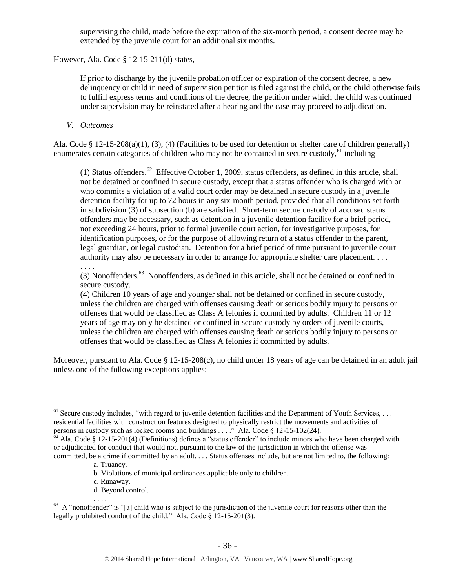supervising the child, made before the expiration of the six-month period, a consent decree may be extended by the juvenile court for an additional six months.

However, Ala. Code § 12-15-211(d) states,

If prior to discharge by the juvenile probation officer or expiration of the consent decree, a new delinquency or child in need of supervision petition is filed against the child, or the child otherwise fails to fulfill express terms and conditions of the decree, the petition under which the child was continued under supervision may be reinstated after a hearing and the case may proceed to adjudication.

## *V. Outcomes*

. . . .

 $\overline{a}$ 

Ala. Code § 12-15-208(a)(1), (3), (4) (Facilities to be used for detention or shelter care of children generally) enumerates certain categories of children who may not be contained in secure custody, $61$  including

(1) Status offenders.<sup>62</sup> Effective October 1, 2009, status offenders, as defined in this article, shall not be detained or confined in secure custody, except that a status offender who is charged with or who commits a violation of a valid court order may be detained in secure custody in a juvenile detention facility for up to 72 hours in any six-month period, provided that all conditions set forth in subdivision (3) of subsection (b) are satisfied. Short-term secure custody of accused status offenders may be necessary, such as detention in a juvenile detention facility for a brief period, not exceeding 24 hours, prior to formal juvenile court action, for investigative purposes, for identification purposes, or for the purpose of allowing return of a status offender to the parent, legal guardian, or legal custodian. Detention for a brief period of time pursuant to juvenile court authority may also be necessary in order to arrange for appropriate shelter care placement. . . .

(3) Nonoffenders.<sup>63</sup> Nonoffenders, as defined in this article, shall not be detained or confined in secure custody.

(4) Children 10 years of age and younger shall not be detained or confined in secure custody, unless the children are charged with offenses causing death or serious bodily injury to persons or offenses that would be classified as Class A felonies if committed by adults. Children 11 or 12 years of age may only be detained or confined in secure custody by orders of juvenile courts, unless the children are charged with offenses causing death or serious bodily injury to persons or offenses that would be classified as Class A felonies if committed by adults.

Moreover, pursuant to Ala. Code § 12-15-208(c), no child under 18 years of age can be detained in an adult jail unless one of the following exceptions applies:

. . . .

- b. Violations of municipal ordinances applicable only to children.
- c. Runaway.
- d. Beyond control.

 $61$  Secure custody includes, "with regard to juvenile detention facilities and the Department of Youth Services, ... residential facilities with construction features designed to physically restrict the movements and activities of persons in custody such as locked rooms and buildings . . . ." Ala. Code § 12-15-102(24).

 $\frac{62}{62}$  Ala. Code § 12-15-201(4) (Definitions) defines a "status offender" to include minors who have been charged with or adjudicated for conduct that would not, pursuant to the law of the jurisdiction in which the offense was committed, be a crime if committed by an adult. . . . Status offenses include, but are not limited to, the following:

a. Truancy.

 $63$  A "nonoffender" is "[a] child who is subject to the jurisdiction of the juvenile court for reasons other than the legally prohibited conduct of the child." Ala. Code § 12-15-201(3).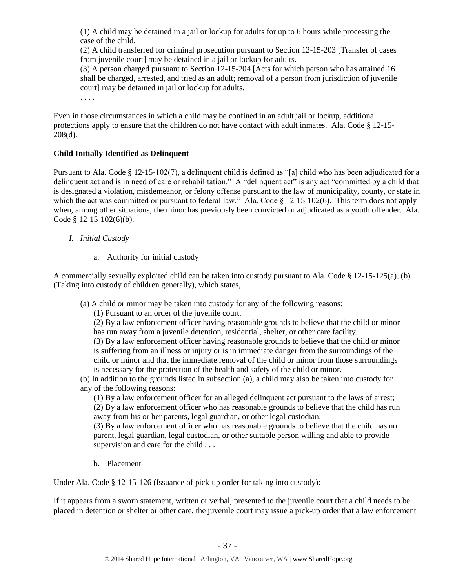(1) A child may be detained in a jail or lockup for adults for up to 6 hours while processing the case of the child.

(2) A child transferred for criminal prosecution pursuant to Section 12-15-203 [Transfer of cases from juvenile court] may be detained in a jail or lockup for adults.

(3) A person charged pursuant to Section 12-15-204 [Acts for which person who has attained 16 shall be charged, arrested, and tried as an adult; removal of a person from jurisdiction of juvenile court] may be detained in jail or lockup for adults.

. . . .

Even in those circumstances in which a child may be confined in an adult jail or lockup, additional protections apply to ensure that the children do not have contact with adult inmates. Ala. Code § 12-15- 208(d).

## **Child Initially Identified as Delinquent**

Pursuant to Ala. Code § 12-15-102(7), a delinquent child is defined as "[a] child who has been adjudicated for a delinquent act and is in need of care or rehabilitation." A "delinquent act" is any act "committed by a child that is designated a violation, misdemeanor, or felony offense pursuant to the law of municipality, county, or state in which the act was committed or pursuant to federal law." Ala. Code § 12-15-102(6). This term does not apply when, among other situations, the minor has previously been convicted or adjudicated as a youth offender. Ala. Code  $§$  12-15-102(6)(b).

- *I. Initial Custody*
	- a. Authority for initial custody

A commercially sexually exploited child can be taken into custody pursuant to Ala. Code  $\S$  12-15-125(a), (b) (Taking into custody of children generally), which states,

(a) A child or minor may be taken into custody for any of the following reasons:

(1) Pursuant to an order of the juvenile court.

(2) By a law enforcement officer having reasonable grounds to believe that the child or minor has run away from a juvenile detention, residential, shelter, or other care facility.

(3) By a law enforcement officer having reasonable grounds to believe that the child or minor is suffering from an illness or injury or is in immediate danger from the surroundings of the child or minor and that the immediate removal of the child or minor from those surroundings is necessary for the protection of the health and safety of the child or minor.

(b) In addition to the grounds listed in subsection (a), a child may also be taken into custody for any of the following reasons:

(1) By a law enforcement officer for an alleged delinquent act pursuant to the laws of arrest; (2) By a law enforcement officer who has reasonable grounds to believe that the child has run away from his or her parents, legal guardian, or other legal custodian;

(3) By a law enforcement officer who has reasonable grounds to believe that the child has no parent, legal guardian, legal custodian, or other suitable person willing and able to provide supervision and care for the child . . .

b. Placement

Under Ala. Code § 12-15-126 (Issuance of pick-up order for taking into custody):

If it appears from a sworn statement, written or verbal, presented to the juvenile court that a child needs to be placed in detention or shelter or other care, the juvenile court may issue a pick-up order that a law enforcement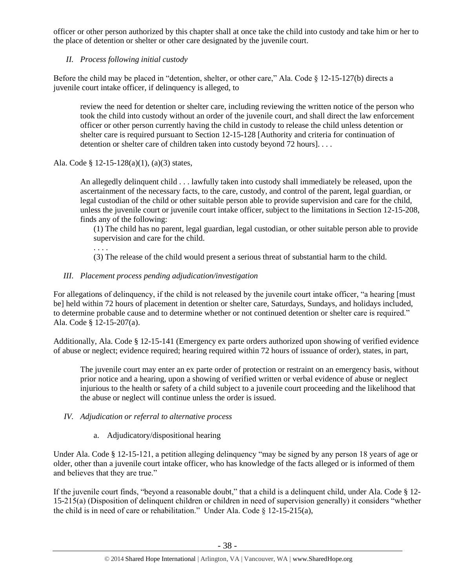officer or other person authorized by this chapter shall at once take the child into custody and take him or her to the place of detention or shelter or other care designated by the juvenile court.

# *II. Process following initial custody*

Before the child may be placed in "detention, shelter, or other care," Ala. Code  $\S$  12-15-127(b) directs a juvenile court intake officer, if delinquency is alleged, to

review the need for detention or shelter care, including reviewing the written notice of the person who took the child into custody without an order of the juvenile court, and shall direct the law enforcement officer or other person currently having the child in custody to release the child unless detention or shelter care is required pursuant to Section 12-15-128 [Authority and criteria for continuation of detention or shelter care of children taken into custody beyond 72 hours]....

Ala. Code § 12-15-128(a)(1), (a)(3) states,

. . . .

An allegedly delinquent child . . . lawfully taken into custody shall immediately be released, upon the ascertainment of the necessary facts, to the care, custody, and control of the parent, legal guardian, or legal custodian of the child or other suitable person able to provide supervision and care for the child, unless the juvenile court or juvenile court intake officer, subject to the limitations in Section 12-15-208, finds any of the following:

(1) The child has no parent, legal guardian, legal custodian, or other suitable person able to provide supervision and care for the child.

(3) The release of the child would present a serious threat of substantial harm to the child.

# *III. Placement process pending adjudication/investigation*

For allegations of delinquency, if the child is not released by the juvenile court intake officer, "a hearing [must be] held within 72 hours of placement in detention or shelter care, Saturdays, Sundays, and holidays included, to determine probable cause and to determine whether or not continued detention or shelter care is required." Ala. Code § 12-15-207(a).

Additionally, Ala. Code § 12-15-141 (Emergency ex parte orders authorized upon showing of verified evidence of abuse or neglect; evidence required; hearing required within 72 hours of issuance of order), states, in part,

The juvenile court may enter an ex parte order of protection or restraint on an emergency basis, without prior notice and a hearing, upon a showing of verified written or verbal evidence of abuse or neglect injurious to the health or safety of a child subject to a juvenile court proceeding and the likelihood that the abuse or neglect will continue unless the order is issued.

## *IV. Adjudication or referral to alternative process*

a. Adjudicatory/dispositional hearing

Under Ala. Code § 12-15-121, a petition alleging delinquency "may be signed by any person 18 years of age or older, other than a juvenile court intake officer, who has knowledge of the facts alleged or is informed of them and believes that they are true."

If the juvenile court finds, "beyond a reasonable doubt," that a child is a delinquent child, under Ala. Code § 12- 15-215(a) (Disposition of delinquent children or children in need of supervision generally) it considers "whether the child is in need of care or rehabilitation." Under Ala. Code § 12-15-215(a),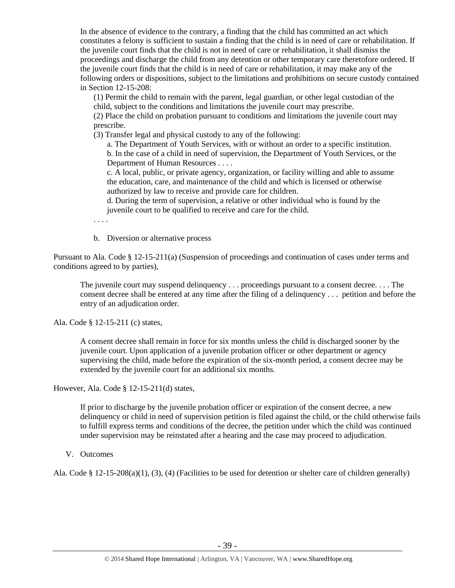In the absence of evidence to the contrary, a finding that the child has committed an act which constitutes a felony is sufficient to sustain a finding that the child is in need of care or rehabilitation. If the juvenile court finds that the child is not in need of care or rehabilitation, it shall dismiss the proceedings and discharge the child from any detention or other temporary care theretofore ordered. If the juvenile court finds that the child is in need of care or rehabilitation, it may make any of the following orders or dispositions, subject to the limitations and prohibitions on secure custody contained in Section 12-15-208:

(1) Permit the child to remain with the parent, legal guardian, or other legal custodian of the child, subject to the conditions and limitations the juvenile court may prescribe.

(2) Place the child on probation pursuant to conditions and limitations the juvenile court may prescribe.

(3) Transfer legal and physical custody to any of the following:

a. The Department of Youth Services, with or without an order to a specific institution. b. In the case of a child in need of supervision, the Department of Youth Services, or the Department of Human Resources . . . .

c. A local, public, or private agency, organization, or facility willing and able to assume the education, care, and maintenance of the child and which is licensed or otherwise authorized by law to receive and provide care for children.

d. During the term of supervision, a relative or other individual who is found by the juvenile court to be qualified to receive and care for the child.

. . . .

b. Diversion or alternative process

Pursuant to Ala. Code § 12-15-211(a) (Suspension of proceedings and continuation of cases under terms and conditions agreed to by parties),

The juvenile court may suspend delinquency . . . proceedings pursuant to a consent decree. . . . The consent decree shall be entered at any time after the filing of a delinquency . . . petition and before the entry of an adjudication order.

Ala. Code § 12-15-211 (c) states,

A consent decree shall remain in force for six months unless the child is discharged sooner by the juvenile court. Upon application of a juvenile probation officer or other department or agency supervising the child, made before the expiration of the six-month period, a consent decree may be extended by the juvenile court for an additional six months.

However, Ala. Code § 12-15-211(d) states,

If prior to discharge by the juvenile probation officer or expiration of the consent decree, a new delinquency or child in need of supervision petition is filed against the child, or the child otherwise fails to fulfill express terms and conditions of the decree, the petition under which the child was continued under supervision may be reinstated after a hearing and the case may proceed to adjudication.

V. Outcomes

Ala. Code § 12-15-208(a)(1), (3), (4) (Facilities to be used for detention or shelter care of children generally)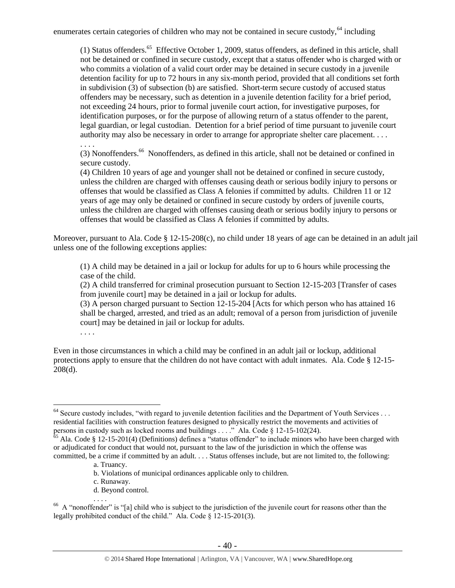enumerates certain categories of children who may not be contained in secure custody, $64$  including

(1) Status offenders.<sup>65</sup> Effective October 1, 2009, status offenders, as defined in this article, shall not be detained or confined in secure custody, except that a status offender who is charged with or who commits a violation of a valid court order may be detained in secure custody in a juvenile detention facility for up to 72 hours in any six-month period, provided that all conditions set forth in subdivision (3) of subsection (b) are satisfied. Short-term secure custody of accused status offenders may be necessary, such as detention in a juvenile detention facility for a brief period, not exceeding 24 hours, prior to formal juvenile court action, for investigative purposes, for identification purposes, or for the purpose of allowing return of a status offender to the parent, legal guardian, or legal custodian. Detention for a brief period of time pursuant to juvenile court authority may also be necessary in order to arrange for appropriate shelter care placement. . . .

(3) Nonoffenders.<sup>66</sup> Nonoffenders, as defined in this article, shall not be detained or confined in secure custody.

(4) Children 10 years of age and younger shall not be detained or confined in secure custody, unless the children are charged with offenses causing death or serious bodily injury to persons or offenses that would be classified as Class A felonies if committed by adults. Children 11 or 12 years of age may only be detained or confined in secure custody by orders of juvenile courts, unless the children are charged with offenses causing death or serious bodily injury to persons or offenses that would be classified as Class A felonies if committed by adults.

Moreover, pursuant to Ala. Code § 12-15-208(c), no child under 18 years of age can be detained in an adult jail unless one of the following exceptions applies:

(1) A child may be detained in a jail or lockup for adults for up to 6 hours while processing the case of the child.

(2) A child transferred for criminal prosecution pursuant to Section 12-15-203 [Transfer of cases from juvenile court] may be detained in a jail or lockup for adults.

(3) A person charged pursuant to Section 12-15-204 [Acts for which person who has attained 16 shall be charged, arrested, and tried as an adult; removal of a person from jurisdiction of juvenile court] may be detained in jail or lockup for adults.

. . . .

 $\overline{a}$ 

. . . .

Even in those circumstances in which a child may be confined in an adult jail or lockup, additional protections apply to ensure that the children do not have contact with adult inmates. Ala. Code § 12-15- 208(d).

- b. Violations of municipal ordinances applicable only to children.
- c. Runaway.
- d. Beyond control.

<sup>&</sup>lt;sup>64</sup> Secure custody includes, "with regard to juvenile detention facilities and the Department of Youth Services . . . residential facilities with construction features designed to physically restrict the movements and activities of persons in custody such as locked rooms and buildings . . . ." Ala. Code  $\S$  12-15-102(24).

 $65$  Ala. Code § 12-15-201(4) (Definitions) defines a "status offender" to include minors who have been charged with or adjudicated for conduct that would not, pursuant to the law of the jurisdiction in which the offense was committed, be a crime if committed by an adult. . . . Status offenses include, but are not limited to, the following:

a. Truancy.

<sup>.</sup> . . . 66 A "nonoffender" is "[a] child who is subject to the jurisdiction of the juvenile court for reasons other than the legally prohibited conduct of the child." Ala. Code § 12-15-201(3).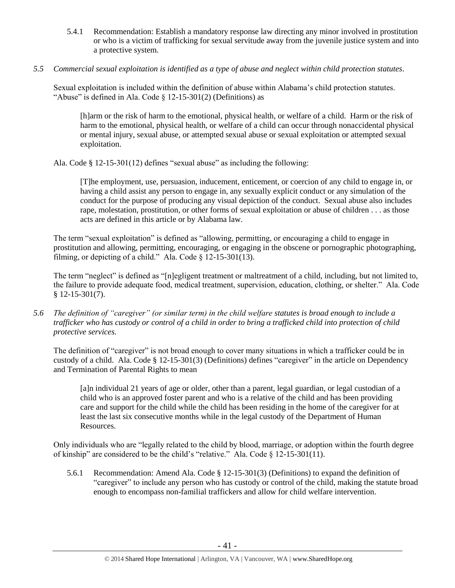- 5.4.1 Recommendation: Establish a mandatory response law directing any minor involved in prostitution or who is a victim of trafficking for sexual servitude away from the juvenile justice system and into a protective system.
- *5.5 Commercial sexual exploitation is identified as a type of abuse and neglect within child protection statutes.*

Sexual exploitation is included within the definition of abuse within Alabama's child protection statutes. "Abuse" is defined in Ala. Code  $\S$  12-15-301(2) (Definitions) as

[h]arm or the risk of harm to the emotional, physical health, or welfare of a child. Harm or the risk of harm to the emotional, physical health, or welfare of a child can occur through nonaccidental physical or mental injury, sexual abuse, or attempted sexual abuse or sexual exploitation or attempted sexual exploitation.

Ala. Code § 12-15-301(12) defines "sexual abuse" as including the following:

[T]he employment, use, persuasion, inducement, enticement, or coercion of any child to engage in, or having a child assist any person to engage in, any sexually explicit conduct or any simulation of the conduct for the purpose of producing any visual depiction of the conduct. Sexual abuse also includes rape, molestation, prostitution, or other forms of sexual exploitation or abuse of children . . . as those acts are defined in this article or by Alabama law.

The term "sexual exploitation" is defined as "allowing, permitting, or encouraging a child to engage in prostitution and allowing, permitting, encouraging, or engaging in the obscene or pornographic photographing, filming, or depicting of a child." Ala. Code § 12-15-301(13).

The term "neglect" is defined as "[n]egligent treatment or maltreatment of a child, including, but not limited to, the failure to provide adequate food, medical treatment, supervision, education, clothing, or shelter." Ala. Code § 12-15-301(7).

*5.6 The definition of "caregiver" (or similar term) in the child welfare statutes is broad enough to include a trafficker who has custody or control of a child in order to bring a trafficked child into protection of child protective services.*

The definition of "caregiver" is not broad enough to cover many situations in which a trafficker could be in custody of a child. Ala. Code § 12-15-301(3) (Definitions) defines "caregiver" in the article on Dependency and Termination of Parental Rights to mean

[a]n individual 21 years of age or older, other than a parent, legal guardian, or legal custodian of a child who is an approved foster parent and who is a relative of the child and has been providing care and support for the child while the child has been residing in the home of the caregiver for at least the last six consecutive months while in the legal custody of the Department of Human Resources.

Only individuals who are "legally related to the child by blood, marriage, or adoption within the fourth degree of kinship" are considered to be the child's "relative." Ala. Code  $\S$  12-15-301(11).

5.6.1 Recommendation: Amend Ala. Code § 12-15-301(3) (Definitions) to expand the definition of "caregiver" to include any person who has custody or control of the child, making the statute broad enough to encompass non-familial traffickers and allow for child welfare intervention.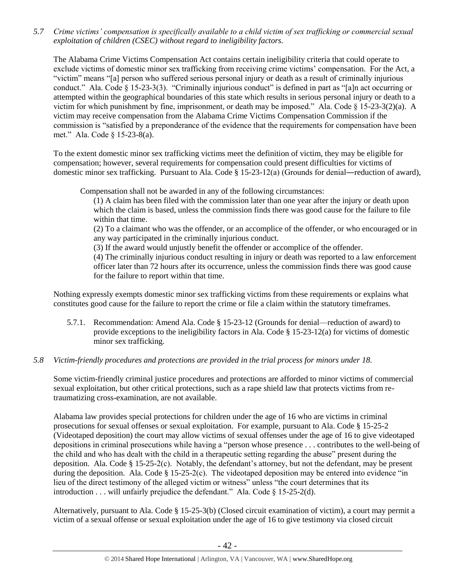*5.7 Crime victims' compensation is specifically available to a child victim of sex trafficking or commercial sexual exploitation of children (CSEC) without regard to ineligibility factors.*

The Alabama Crime Victims Compensation Act contains certain ineligibility criteria that could operate to exclude victims of domestic minor sex trafficking from receiving crime victims' compensation. For the Act, a "victim" means "[a] person who suffered serious personal injury or death as a result of criminally injurious conduct." Ala. Code § 15-23-3(3). "Criminally injurious conduct" is defined in part as "[a]n act occurring or attempted within the geographical boundaries of this state which results in serious personal injury or death to a victim for which punishment by fine, imprisonment, or death may be imposed." Ala. Code § 15-23-3(2)(a). A victim may receive compensation from the Alabama Crime Victims Compensation Commission if the commission is "satisfied by a preponderance of the evidence that the requirements for compensation have been met." Ala. Code § 15-23-8(a).

To the extent domestic minor sex trafficking victims meet the definition of victim, they may be eligible for compensation; however, several requirements for compensation could present difficulties for victims of domestic minor sex trafficking. Pursuant to Ala. Code § 15-23-12(a) (Grounds for denial―reduction of award),

Compensation shall not be awarded in any of the following circumstances:

(1) A claim has been filed with the commission later than one year after the injury or death upon which the claim is based, unless the commission finds there was good cause for the failure to file within that time.

(2) To a claimant who was the offender, or an accomplice of the offender, or who encouraged or in any way participated in the criminally injurious conduct.

(3) If the award would unjustly benefit the offender or accomplice of the offender.

(4) The criminally injurious conduct resulting in injury or death was reported to a law enforcement officer later than 72 hours after its occurrence, unless the commission finds there was good cause for the failure to report within that time.

Nothing expressly exempts domestic minor sex trafficking victims from these requirements or explains what constitutes good cause for the failure to report the crime or file a claim within the statutory timeframes.

5.7.1. Recommendation: Amend Ala. Code § 15-23-12 (Grounds for denial—reduction of award) to provide exceptions to the ineligibility factors in Ala. Code § 15-23-12(a) for victims of domestic minor sex trafficking.

## *5.8 Victim-friendly procedures and protections are provided in the trial process for minors under 18.*

Some victim-friendly criminal justice procedures and protections are afforded to minor victims of commercial sexual exploitation, but other critical protections, such as a rape shield law that protects victims from retraumatizing cross-examination, are not available.

Alabama law provides special protections for children under the age of 16 who are victims in criminal prosecutions for sexual offenses or sexual exploitation. For example, pursuant to Ala. Code § 15-25-2 (Videotaped deposition) the court may allow victims of sexual offenses under the age of 16 to give videotaped depositions in criminal prosecutions while having a "person whose presence . . . contributes to the well-being of the child and who has dealt with the child in a therapeutic setting regarding the abuse" present during the deposition. Ala. Code  $\S 15-25-2(c)$ . Notably, the defendant's attorney, but not the defendant, may be present during the deposition. Ala. Code § 15-25-2(c). The videotaped deposition may be entered into evidence "in lieu of the direct testimony of the alleged victim or witness" unless "the court determines that its introduction . . . will unfairly prejudice the defendant." Ala. Code § 15-25-2(d).

Alternatively, pursuant to Ala. Code § 15-25-3(b) (Closed circuit examination of victim), a court may permit a victim of a sexual offense or sexual exploitation under the age of 16 to give testimony via closed circuit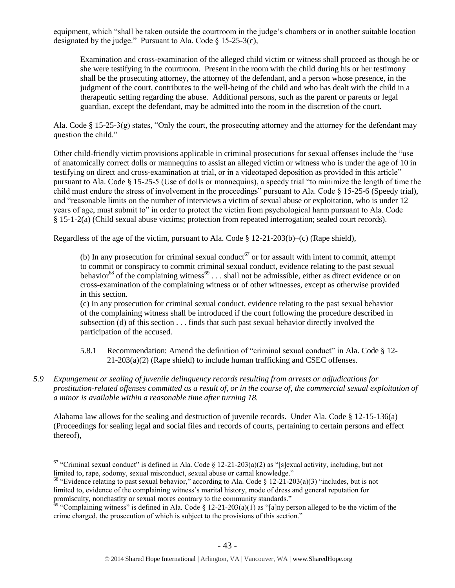equipment, which "shall be taken outside the courtroom in the judge's chambers or in another suitable location designated by the judge." Pursuant to Ala. Code  $\S$  15-25-3(c),

Examination and cross-examination of the alleged child victim or witness shall proceed as though he or she were testifying in the courtroom. Present in the room with the child during his or her testimony shall be the prosecuting attorney, the attorney of the defendant, and a person whose presence, in the judgment of the court, contributes to the well-being of the child and who has dealt with the child in a therapeutic setting regarding the abuse. Additional persons, such as the parent or parents or legal guardian, except the defendant, may be admitted into the room in the discretion of the court.

Ala. Code § 15-25-3(g) states, "Only the court, the prosecuting attorney and the attorney for the defendant may question the child."

Other child-friendly victim provisions applicable in criminal prosecutions for sexual offenses include the "use of anatomically correct dolls or mannequins to assist an alleged victim or witness who is under the age of 10 in testifying on direct and cross-examination at trial, or in a videotaped deposition as provided in this article" pursuant to Ala. Code § 15-25-5 (Use of dolls or mannequins), a speedy trial "to minimize the length of time the child must endure the stress of involvement in the proceedings" pursuant to Ala. Code § 15-25-6 (Speedy trial), and "reasonable limits on the number of interviews a victim of sexual abuse or exploitation, who is under 12 years of age, must submit to" in order to protect the victim from psychological harm pursuant to Ala. Code § 15-1-2(a) (Child sexual abuse victims; protection from repeated interrogation; sealed court records).

Regardless of the age of the victim, pursuant to Ala. Code § 12-21-203(b)–(c) (Rape shield),

(b) In any prosecution for criminal sexual conduct<sup>67</sup> or for assault with intent to commit, attempt to commit or conspiracy to commit criminal sexual conduct, evidence relating to the past sexual behavior<sup>68</sup> of the complaining witness<sup>69</sup> . . . shall not be admissible, either as direct evidence or on cross-examination of the complaining witness or of other witnesses, except as otherwise provided in this section.

(c) In any prosecution for criminal sexual conduct, evidence relating to the past sexual behavior of the complaining witness shall be introduced if the court following the procedure described in subsection (d) of this section . . . finds that such past sexual behavior directly involved the participation of the accused.

- 5.8.1 Recommendation: Amend the definition of "criminal sexual conduct" in Ala. Code § 12- 21-203(a)(2) (Rape shield) to include human trafficking and CSEC offenses.
- *5.9 Expungement or sealing of juvenile delinquency records resulting from arrests or adjudications for prostitution-related offenses committed as a result of, or in the course of, the commercial sexual exploitation of a minor is available within a reasonable time after turning 18.*

Alabama law allows for the sealing and destruction of juvenile records. Under Ala. Code § 12-15-136(a) (Proceedings for sealing legal and social files and records of courts, pertaining to certain persons and effect thereof),

 $67$  "Criminal sexual conduct" is defined in Ala. Code § 12-21-203(a)(2) as "[s]exual activity, including, but not limited to, rape, sodomy, sexual misconduct, sexual abuse or carnal knowledge."

<sup>&</sup>lt;sup>68</sup> "Evidence relating to past sexual behavior," according to Ala. Code § 12-21-203(a)(3) "includes, but is not limited to, evidence of the complaining witness's marital history, mode of dress and general reputation for promiscuity, nonchastity or sexual mores contrary to the community standards."

 $\frac{69}{12}$  "Complaining witness" is defined in Ala. Code § 12-21-203(a)(1) as "[a]ny person alleged to be the victim of the crime charged, the prosecution of which is subject to the provisions of this section."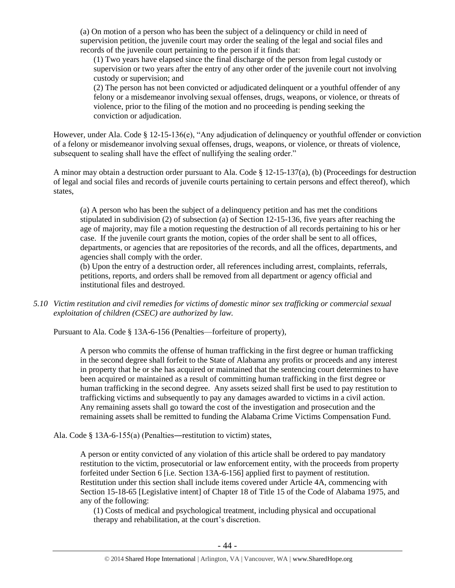(a) On motion of a person who has been the subject of a delinquency or child in need of supervision petition, the juvenile court may order the sealing of the legal and social files and records of the juvenile court pertaining to the person if it finds that:

(1) Two years have elapsed since the final discharge of the person from legal custody or supervision or two years after the entry of any other order of the juvenile court not involving custody or supervision; and

(2) The person has not been convicted or adjudicated delinquent or a youthful offender of any felony or a misdemeanor involving sexual offenses, drugs, weapons, or violence, or threats of violence, prior to the filing of the motion and no proceeding is pending seeking the conviction or adjudication.

However, under Ala. Code § 12-15-136(e), "Any adjudication of delinquency or youthful offender or conviction of a felony or misdemeanor involving sexual offenses, drugs, weapons, or violence, or threats of violence, subsequent to sealing shall have the effect of nullifying the sealing order."

A minor may obtain a destruction order pursuant to Ala. Code § 12-15-137(a), (b) (Proceedings for destruction of legal and social files and records of juvenile courts pertaining to certain persons and effect thereof), which states,

(a) A person who has been the subject of a delinquency petition and has met the conditions stipulated in subdivision (2) of subsection (a) of Section 12-15-136, five years after reaching the age of majority, may file a motion requesting the destruction of all records pertaining to his or her case. If the juvenile court grants the motion, copies of the order shall be sent to all offices, departments, or agencies that are repositories of the records, and all the offices, departments, and agencies shall comply with the order.

(b) Upon the entry of a destruction order, all references including arrest, complaints, referrals, petitions, reports, and orders shall be removed from all department or agency official and institutional files and destroyed.

*5.10 Victim restitution and civil remedies for victims of domestic minor sex trafficking or commercial sexual exploitation of children (CSEC) are authorized by law.* 

Pursuant to Ala. Code § 13A-6-156 (Penalties—forfeiture of property),

A person who commits the offense of human trafficking in the first degree or human trafficking in the second degree shall forfeit to the State of Alabama any profits or proceeds and any interest in property that he or she has acquired or maintained that the sentencing court determines to have been acquired or maintained as a result of committing human trafficking in the first degree or human trafficking in the second degree. Any assets seized shall first be used to pay restitution to trafficking victims and subsequently to pay any damages awarded to victims in a civil action. Any remaining assets shall go toward the cost of the investigation and prosecution and the remaining assets shall be remitted to funding the Alabama Crime Victims Compensation Fund.

Ala. Code § 13A-6-155(a) (Penalties―restitution to victim) states,

A person or entity convicted of any violation of this article shall be ordered to pay mandatory restitution to the victim, prosecutorial or law enforcement entity, with the proceeds from property forfeited under Section 6 [i.e. Section 13A-6-156] applied first to payment of restitution. Restitution under this section shall include items covered under Article 4A, commencing with Section 15-18-65 [Legislative intent] of Chapter 18 of Title 15 of the Code of Alabama 1975, and any of the following:

(1) Costs of medical and psychological treatment, including physical and occupational therapy and rehabilitation, at the court's discretion.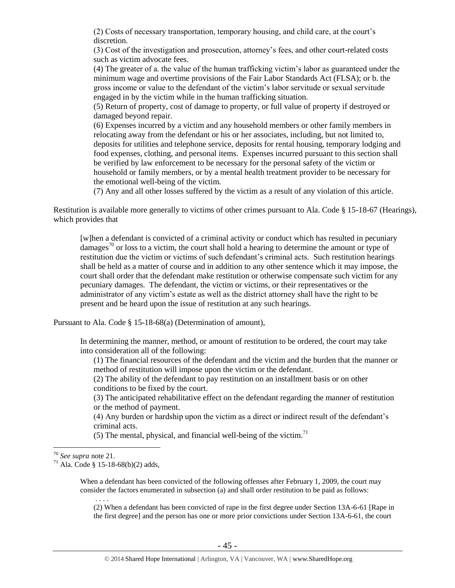(2) Costs of necessary transportation, temporary housing, and child care, at the court's discretion.

(3) Cost of the investigation and prosecution, attorney's fees, and other court-related costs such as victim advocate fees.

(4) The greater of a. the value of the human trafficking victim's labor as guaranteed under the minimum wage and overtime provisions of the Fair Labor Standards Act (FLSA); or b. the gross income or value to the defendant of the victim's labor servitude or sexual servitude engaged in by the victim while in the human trafficking situation.

(5) Return of property, cost of damage to property, or full value of property if destroyed or damaged beyond repair.

(6) Expenses incurred by a victim and any household members or other family members in relocating away from the defendant or his or her associates, including, but not limited to, deposits for utilities and telephone service, deposits for rental housing, temporary lodging and food expenses, clothing, and personal items. Expenses incurred pursuant to this section shall be verified by law enforcement to be necessary for the personal safety of the victim or household or family members, or by a mental health treatment provider to be necessary for the emotional well-being of the victim.

(7) Any and all other losses suffered by the victim as a result of any violation of this article.

Restitution is available more generally to victims of other crimes pursuant to Ala. Code § 15-18-67 (Hearings), which provides that

[w]hen a defendant is convicted of a criminal activity or conduct which has resulted in pecuniary damages<sup>70</sup> or loss to a victim, the court shall hold a hearing to determine the amount or type of restitution due the victim or victims of such defendant's criminal acts. Such restitution hearings shall be held as a matter of course and in addition to any other sentence which it may impose, the court shall order that the defendant make restitution or otherwise compensate such victim for any pecuniary damages. The defendant, the victim or victims, or their representatives or the administrator of any victim's estate as well as the district attorney shall have the right to be present and be heard upon the issue of restitution at any such hearings.

Pursuant to Ala. Code § 15-18-68(a) (Determination of amount),

In determining the manner, method, or amount of restitution to be ordered, the court may take into consideration all of the following:

(1) The financial resources of the defendant and the victim and the burden that the manner or method of restitution will impose upon the victim or the defendant.

(2) The ability of the defendant to pay restitution on an installment basis or on other conditions to be fixed by the court.

(3) The anticipated rehabilitative effect on the defendant regarding the manner of restitution or the method of payment.

(4) Any burden or hardship upon the victim as a direct or indirect result of the defendant's criminal acts.

(5) The mental, physical, and financial well-being of the victim.<sup>71</sup>

 $\overline{a}$ 

. . . .

When a defendant has been convicted of the following offenses after February 1, 2009, the court may consider the factors enumerated in subsection (a) and shall order restitution to be paid as follows:

(2) When a defendant has been convicted of rape in the first degree under Section 13A-6-61 [Rape in the first degree] and the person has one or more prior convictions under Section 13A-6-61, the court

<sup>70</sup> *See supra* note [21.](#page-12-0) 

 $71$  Ala. Code § 15-18-68(b)(2) adds,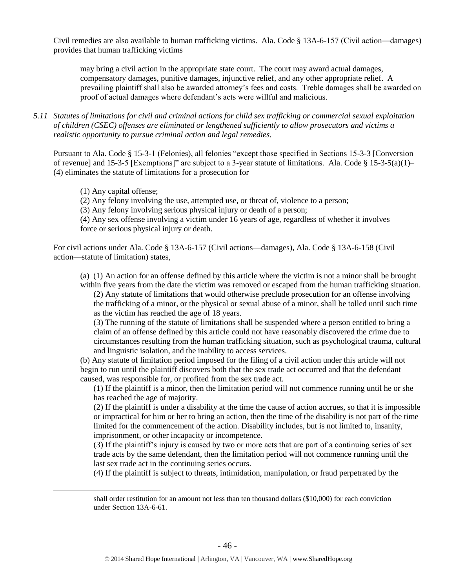Civil remedies are also available to human trafficking victims. Ala. Code § 13A-6-157 (Civil action―damages) provides that human trafficking victims

may bring a civil action in the appropriate state court. The court may award actual damages, compensatory damages, punitive damages, injunctive relief, and any other appropriate relief. A prevailing plaintiff shall also be awarded attorney's fees and costs. Treble damages shall be awarded on proof of actual damages where defendant's acts were willful and malicious.

*5.11 Statutes of limitations for civil and criminal actions for child sex trafficking or commercial sexual exploitation of children (CSEC) offenses are eliminated or lengthened sufficiently to allow prosecutors and victims a realistic opportunity to pursue criminal action and legal remedies.*

Pursuant to Ala. Code § 15-3-1 (Felonies), all felonies "except those specified in Sections 15-3-3 [Conversion of revenue] and 15-3-5 [Exemptions]" are subject to a 3-year statute of limitations. Ala. Code § 15-3-5(a)(1)– (4) eliminates the statute of limitations for a prosecution for

(1) Any capital offense;

 $\overline{a}$ 

(2) Any felony involving the use, attempted use, or threat of, violence to a person;

(3) Any felony involving serious physical injury or death of a person;

(4) Any sex offense involving a victim under 16 years of age, regardless of whether it involves force or serious physical injury or death.

For civil actions under Ala. Code § 13A-6-157 (Civil actions—damages), Ala. Code § 13A-6-158 (Civil action—statute of limitation) states,

(a) (1) An action for an offense defined by this article where the victim is not a minor shall be brought within five years from the date the victim was removed or escaped from the human trafficking situation.

(2) Any statute of limitations that would otherwise preclude prosecution for an offense involving the trafficking of a minor, or the physical or sexual abuse of a minor, shall be tolled until such time as the victim has reached the age of 18 years.

(3) The running of the statute of limitations shall be suspended where a person entitled to bring a claim of an offense defined by this article could not have reasonably discovered the crime due to circumstances resulting from the human trafficking situation, such as psychological trauma, cultural and linguistic isolation, and the inability to access services.

(b) Any statute of limitation period imposed for the filing of a civil action under this article will not begin to run until the plaintiff discovers both that the sex trade act occurred and that the defendant caused, was responsible for, or profited from the sex trade act.

(1) If the plaintiff is a minor, then the limitation period will not commence running until he or she has reached the age of majority.

(2) If the plaintiff is under a disability at the time the cause of action accrues, so that it is impossible or impractical for him or her to bring an action, then the time of the disability is not part of the time limited for the commencement of the action. Disability includes, but is not limited to, insanity, imprisonment, or other incapacity or incompetence.

(3) If the plaintiff's injury is caused by two or more acts that are part of a continuing series of sex trade acts by the same defendant, then the limitation period will not commence running until the last sex trade act in the continuing series occurs.

(4) If the plaintiff is subject to threats, intimidation, manipulation, or fraud perpetrated by the

shall order restitution for an amount not less than ten thousand dollars (\$10,000) for each conviction under Section 13A-6-61.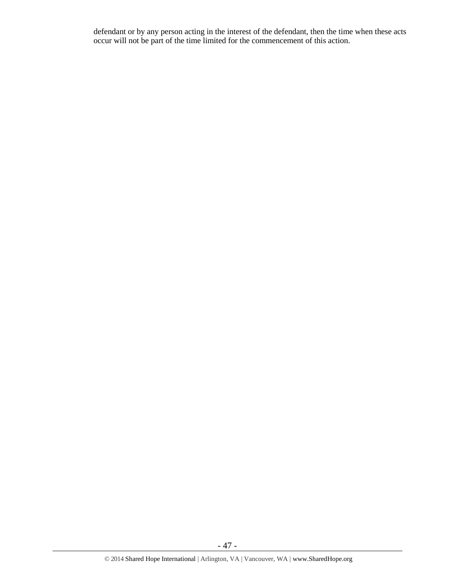defendant or by any person acting in the interest of the defendant, then the time when these acts occur will not be part of the time limited for the commencement of this action.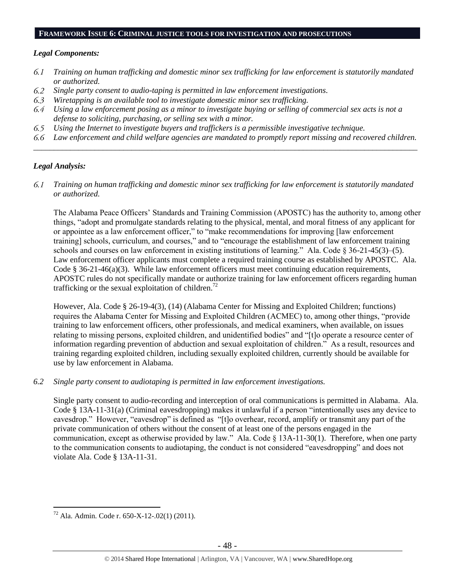#### **FRAMEWORK ISSUE 6: CRIMINAL JUSTICE TOOLS FOR INVESTIGATION AND PROSECUTIONS**

#### *Legal Components:*

- 6.1 *Training on human trafficking and domestic minor sex trafficking for law enforcement is statutorily mandated or authorized.*
- $6.2$ *Single party consent to audio-taping is permitted in law enforcement investigations.*
- 6.3 *Wiretapping is an available tool to investigate domestic minor sex trafficking.*
- 6.4 *Using a law enforcement posing as a minor to investigate buying or selling of commercial sex acts is not a defense to soliciting, purchasing, or selling sex with a minor.*
- 6.5 *Using the Internet to investigate buyers and traffickers is a permissible investigative technique.*
- *Law enforcement and child welfare agencies are mandated to promptly report missing and recovered children.*  6.6 *\_\_\_\_\_\_\_\_\_\_\_\_\_\_\_\_\_\_\_\_\_\_\_\_\_\_\_\_\_\_\_\_\_\_\_\_\_\_\_\_\_\_\_\_\_\_\_\_\_\_\_\_\_\_\_\_\_\_\_\_\_\_\_\_\_\_\_\_\_\_\_\_\_\_\_\_\_\_\_\_\_\_\_\_\_\_\_\_\_\_\_\_\_\_*

## *Legal Analysis:*

 $\overline{a}$ 

6.1 *Training on human trafficking and domestic minor sex trafficking for law enforcement is statutorily mandated or authorized.*

The Alabama Peace Officers' Standards and Training Commission (APOSTC) has the authority to, among other things, "adopt and promulgate standards relating to the physical, mental, and moral fitness of any applicant for or appointee as a law enforcement officer," to "make recommendations for improving [law enforcement training] schools, curriculum, and courses," and to "encourage the establishment of law enforcement training schools and courses on law enforcement in existing institutions of learning." Ala. Code § 36-21-45(3)–(5). Law enforcement officer applicants must complete a required training course as established by APOSTC. Ala. Code § 36-21-46(a)(3). While law enforcement officers must meet continuing education requirements, APOSTC rules do not specifically mandate or authorize training for law enforcement officers regarding human trafficking or the sexual exploitation of children.<sup>72</sup>

However, Ala. Code § 26-19-4(3), (14) (Alabama Center for Missing and Exploited Children; functions) requires the Alabama Center for Missing and Exploited Children (ACMEC) to, among other things, "provide training to law enforcement officers, other professionals, and medical examiners, when available, on issues relating to missing persons, exploited children, and unidentified bodies" and "[t]o operate a resource center of information regarding prevention of abduction and sexual exploitation of children." As a result, resources and training regarding exploited children, including sexually exploited children, currently should be available for use by law enforcement in Alabama.

*6.2 Single party consent to audiotaping is permitted in law enforcement investigations.*

Single party consent to audio-recording and interception of oral communications is permitted in Alabama. Ala. Code § 13A-11-31(a) (Criminal eavesdropping) makes it unlawful if a person "intentionally uses any device to eavesdrop." However, "eavesdrop" is defined as "[t]o overhear, record, amplify or transmit any part of the private communication of others without the consent of at least one of the persons engaged in the communication, except as otherwise provided by law." Ala. Code § 13A-11-30(1). Therefore, when one party to the communication consents to audiotaping, the conduct is not considered "eavesdropping" and does not violate Ala. Code § 13A-11-31.

<sup>72</sup> Ala. Admin. Code r. 650-X-12-.02(1) (2011).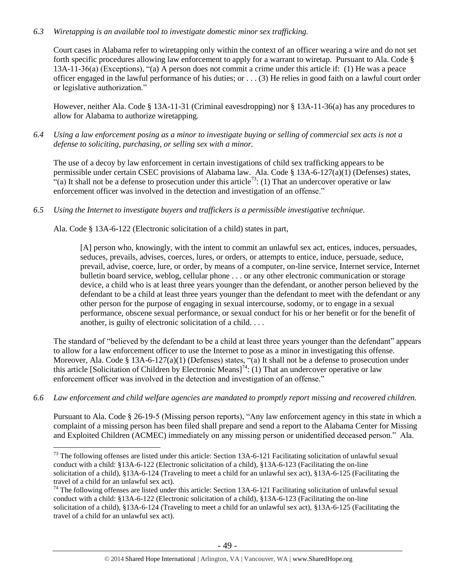## *6.3 Wiretapping is an available tool to investigate domestic minor sex trafficking.*

Court cases in Alabama refer to wiretapping only within the context of an officer wearing a wire and do not set forth specific procedures allowing law enforcement to apply for a warrant to wiretap. Pursuant to Ala. Code § 13A-11-36(a) (Exceptions), "(a) A person does not commit a crime under this article if: (1) He was a peace officer engaged in the lawful performance of his duties; or . . . (3) He relies in good faith on a lawful court order or legislative authorization."

However, neither Ala. Code § 13A-11-31 (Criminal eavesdropping) nor § 13A-11-36(a) has any procedures to allow for Alabama to authorize wiretapping.

*6.4 Using a law enforcement posing as a minor to investigate buying or selling of commercial sex acts is not a defense to soliciting, purchasing, or selling sex with a minor.*

The use of a decoy by law enforcement in certain investigations of child sex trafficking appears to be permissible under certain CSEC provisions of Alabama law. Ala. Code § 13A-6-127(a)(1) (Defenses) states,  $\cdot$  (a) It shall not be a defense to prosecution under this article<sup>73</sup>: (1) That an undercover operative or law enforcement officer was involved in the detection and investigation of an offense."

*6.5 Using the Internet to investigate buyers and traffickers is a permissible investigative technique.*

Ala. Code § 13A-6-122 (Electronic solicitation of a child) states in part,

[A] person who, knowingly, with the intent to commit an unlawful sex act, entices, induces, persuades, seduces, prevails, advises, coerces, lures, or orders, or attempts to entice, induce, persuade, seduce, prevail, advise, coerce, lure, or order, by means of a computer, on-line service, Internet service, Internet bulletin board service, weblog, cellular phone . . . or any other electronic communication or storage device, a child who is at least three years younger than the defendant, or another person believed by the defendant to be a child at least three years younger than the defendant to meet with the defendant or any other person for the purpose of engaging in sexual intercourse, sodomy, or to engage in a sexual performance, obscene sexual performance, or sexual conduct for his or her benefit or for the benefit of another, is guilty of electronic solicitation of a child. . . .

The standard of "believed by the defendant to be a child at least three years younger than the defendant" appears to allow for a law enforcement officer to use the Internet to pose as a minor in investigating this offense. Moreover, Ala. Code § 13A-6-127(a)(1) (Defenses) states, "(a) It shall not be a defense to prosecution under this article [Solicitation of Children by Electronic Means]<sup>74</sup>: (1) That an undercover operative or law enforcement officer was involved in the detection and investigation of an offense."

*6.6 Law enforcement and child welfare agencies are mandated to promptly report missing and recovered children.* 

Pursuant to Ala. Code § 26-19-5 (Missing person reports), "Any law enforcement agency in this state in which a complaint of a missing person has been filed shall prepare and send a report to the Alabama Center for Missing and Exploited Children (ACMEC) immediately on any missing person or unidentified deceased person." Ala.

 $\overline{a}$  $73$  The following offenses are listed under this article: Section 13A-6-121 Facilitating solicitation of unlawful sexual conduct with a child: §13A-6-122 (Electronic solicitation of a child), §13A-6-123 (Facilitating the on-line solicitation of a child), §13A-6-124 (Traveling to meet a child for an unlawful sex act), §13A-6-125 (Facilitating the travel of a child for an unlawful sex act).

 $74$  The following offenses are listed under this article: Section 13A-6-121 Facilitating solicitation of unlawful sexual conduct with a child: §13A-6-122 (Electronic solicitation of a child), §13A-6-123 (Facilitating the on-line solicitation of a child), §13A-6-124 (Traveling to meet a child for an unlawful sex act), §13A-6-125 (Facilitating the travel of a child for an unlawful sex act).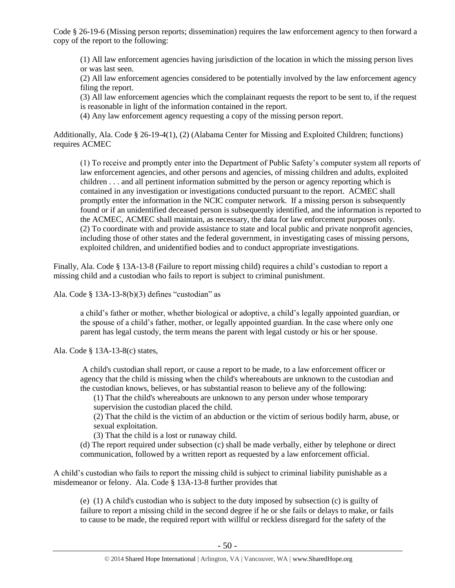Code § 26-19-6 (Missing person reports; dissemination) requires the law enforcement agency to then forward a copy of the report to the following:

(1) All law enforcement agencies having jurisdiction of the location in which the missing person lives or was last seen.

(2) All law enforcement agencies considered to be potentially involved by the law enforcement agency filing the report.

(3) All law enforcement agencies which the complainant requests the report to be sent to, if the request is reasonable in light of the information contained in the report.

(4) Any law enforcement agency requesting a copy of the missing person report.

Additionally, Ala. Code § 26-19-4(1), (2) (Alabama Center for Missing and Exploited Children; functions) requires ACMEC

(1) To receive and promptly enter into the Department of Public Safety's computer system all reports of law enforcement agencies, and other persons and agencies, of missing children and adults, exploited children . . . and all pertinent information submitted by the person or agency reporting which is contained in any investigation or investigations conducted pursuant to the report. ACMEC shall promptly enter the information in the NCIC computer network. If a missing person is subsequently found or if an unidentified deceased person is subsequently identified, and the information is reported to the ACMEC, ACMEC shall maintain, as necessary, the data for law enforcement purposes only. (2) To coordinate with and provide assistance to state and local public and private nonprofit agencies, including those of other states and the federal government, in investigating cases of missing persons, exploited children, and unidentified bodies and to conduct appropriate investigations.

Finally, Ala. Code § 13A-13-8 (Failure to report missing child) requires a child's custodian to report a missing child and a custodian who fails to report is subject to criminal punishment.

Ala. Code § 13A-13-8(b)(3) defines "custodian" as

a child's father or mother, whether biological or adoptive, a child's legally appointed guardian, or the spouse of a child's father, mother, or legally appointed guardian. In the case where only one parent has legal custody, the term means the parent with legal custody or his or her spouse.

Ala. Code § 13A-13-8(c) states,

A child's custodian shall report, or cause a report to be made, to a law enforcement officer or agency that the child is missing when the child's whereabouts are unknown to the custodian and the custodian knows, believes, or has substantial reason to believe any of the following:

(1) That the child's whereabouts are unknown to any person under whose temporary supervision the custodian placed the child.

(2) That the child is the victim of an abduction or the victim of serious bodily harm, abuse, or sexual exploitation.

(3) That the child is a lost or runaway child.

(d) The report required under subsection (c) shall be made verbally, either by telephone or direct communication, followed by a written report as requested by a law enforcement official.

A child's custodian who fails to report the missing child is subject to criminal liability punishable as a misdemeanor or felony. Ala. Code § 13A-13-8 further provides that

(e) (1) A child's custodian who is subject to the duty imposed by subsection (c) is guilty of failure to report a missing child in the second degree if he or she fails or delays to make, or fails to cause to be made, the required report with willful or reckless disregard for the safety of the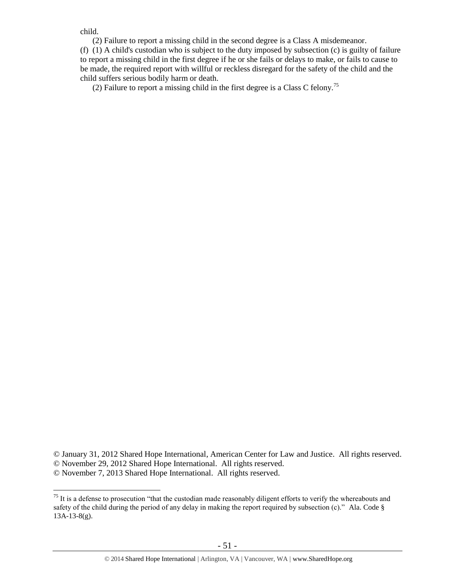child.

 (2) Failure to report a missing child in the second degree is a Class A misdemeanor. (f) (1) A child's custodian who is subject to the duty imposed by subsection (c) is guilty of failure to report a missing child in the first degree if he or she fails or delays to make, or fails to cause to be made, the required report with willful or reckless disregard for the safety of the child and the child suffers serious bodily harm or death.

(2) Failure to report a missing child in the first degree is a Class C felony.<sup>75</sup>

<sup>©</sup> January 31, 2012 Shared Hope International, American Center for Law and Justice. All rights reserved. © November 29, 2012 Shared Hope International. All rights reserved.

<sup>©</sup> November 7, 2013 Shared Hope International. All rights reserved.

 $\overline{a}$  $75$  It is a defense to prosecution "that the custodian made reasonably diligent efforts to verify the whereabouts and safety of the child during the period of any delay in making the report required by subsection (c)." Ala. Code § 13A-13-8(g).